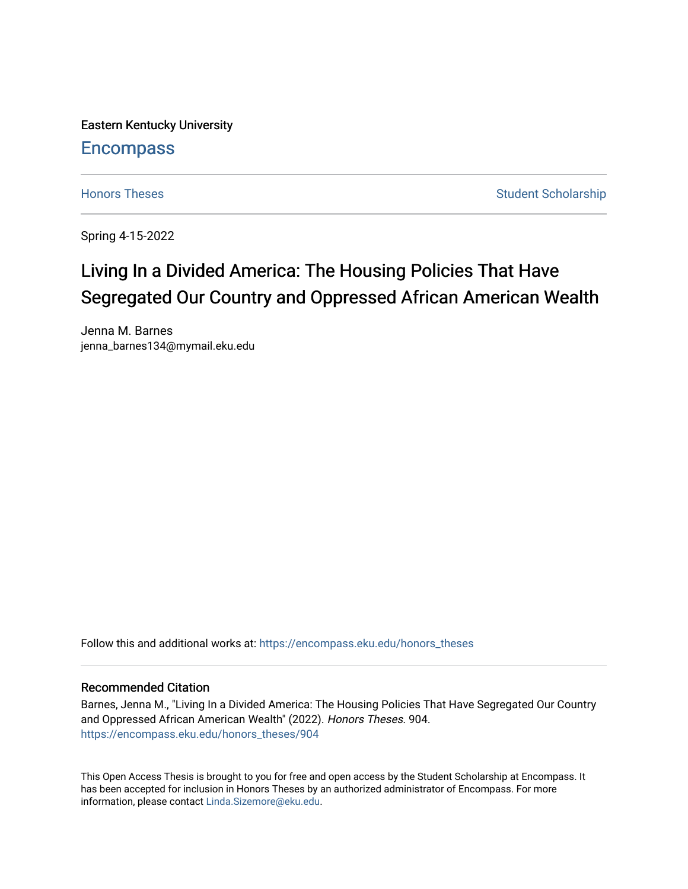Eastern Kentucky University

## **Encompass**

[Honors Theses](https://encompass.eku.edu/honors_theses) **Student Scholarship** Student Scholarship

Spring 4-15-2022

## Living In a Divided America: The Housing Policies That Have Segregated Our Country and Oppressed African American Wealth

Jenna M. Barnes jenna\_barnes134@mymail.eku.edu

Follow this and additional works at: [https://encompass.eku.edu/honors\\_theses](https://encompass.eku.edu/honors_theses?utm_source=encompass.eku.edu%2Fhonors_theses%2F904&utm_medium=PDF&utm_campaign=PDFCoverPages) 

### Recommended Citation

Barnes, Jenna M., "Living In a Divided America: The Housing Policies That Have Segregated Our Country and Oppressed African American Wealth" (2022). Honors Theses. 904. [https://encompass.eku.edu/honors\\_theses/904](https://encompass.eku.edu/honors_theses/904?utm_source=encompass.eku.edu%2Fhonors_theses%2F904&utm_medium=PDF&utm_campaign=PDFCoverPages) 

This Open Access Thesis is brought to you for free and open access by the Student Scholarship at Encompass. It has been accepted for inclusion in Honors Theses by an authorized administrator of Encompass. For more information, please contact [Linda.Sizemore@eku.edu.](mailto:Linda.Sizemore@eku.edu)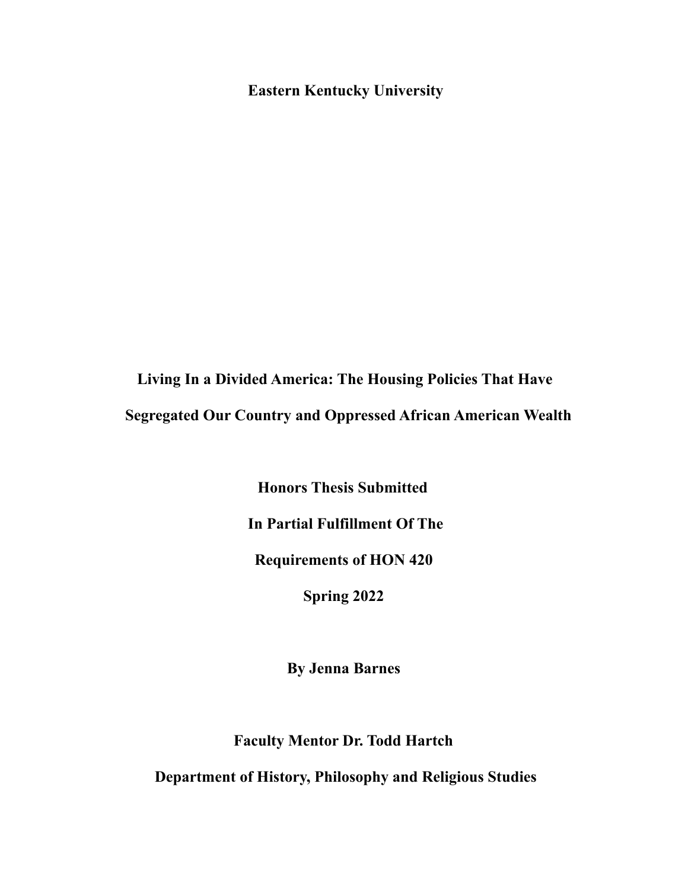**Eastern Kentucky University**

**Living In a Divided America: The Housing Policies That Have Segregated Our Country and Oppressed African American Wealth**

> **Honors Thesis Submitted In Partial Fulfillment Of The Requirements of HON 420 Spring 2022**

> > **By Jenna Barnes**

**Faculty Mentor Dr. Todd Hartch**

**Department of History, Philosophy and Religious Studies**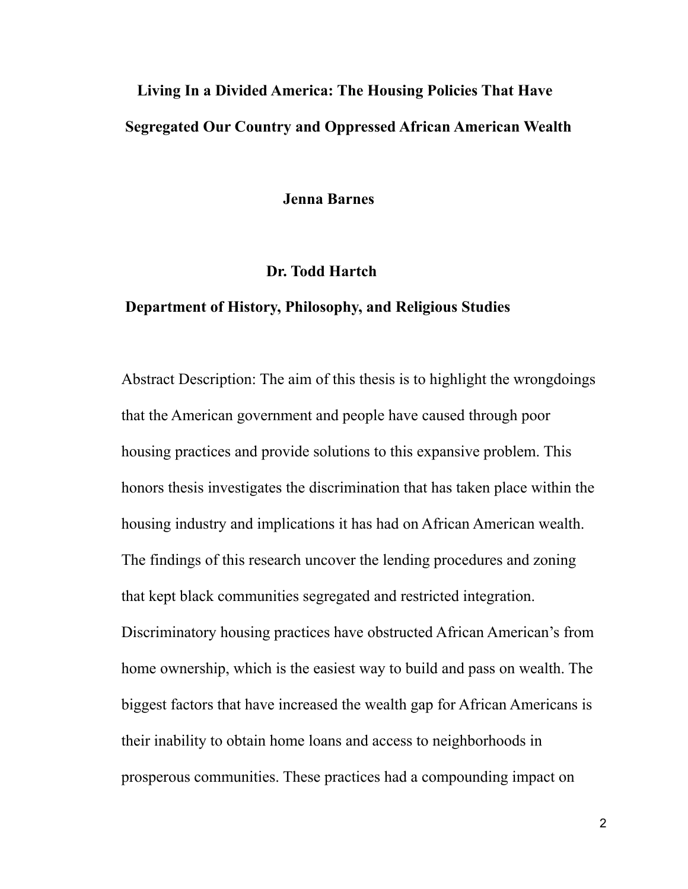# **Living In a Divided America: The Housing Policies That Have Segregated Our Country and Oppressed African American Wealth**

**Jenna Barnes**

## **Dr. Todd Hartch**

## **Department of History, Philosophy, and Religious Studies**

Abstract Description: The aim of this thesis is to highlight the wrongdoings that the American government and people have caused through poor housing practices and provide solutions to this expansive problem. This honors thesis investigates the discrimination that has taken place within the housing industry and implications it has had on African American wealth. The findings of this research uncover the lending procedures and zoning that kept black communities segregated and restricted integration. Discriminatory housing practices have obstructed African American's from home ownership, which is the easiest way to build and pass on wealth. The biggest factors that have increased the wealth gap for African Americans is their inability to obtain home loans and access to neighborhoods in prosperous communities. These practices had a compounding impact on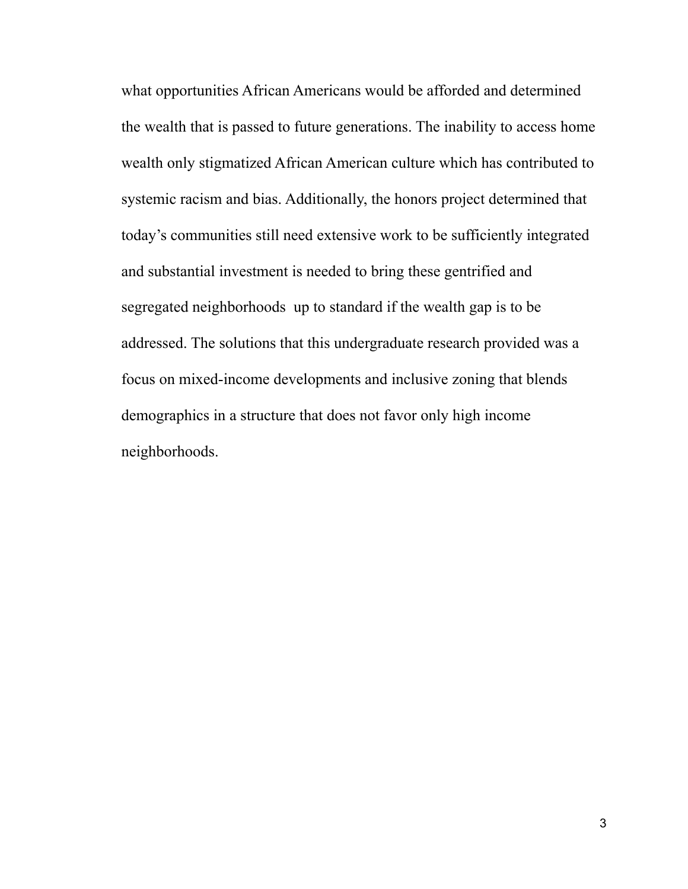what opportunities African Americans would be afforded and determined the wealth that is passed to future generations. The inability to access home wealth only stigmatized African American culture which has contributed to systemic racism and bias. Additionally, the honors project determined that today's communities still need extensive work to be sufficiently integrated and substantial investment is needed to bring these gentrified and segregated neighborhoods up to standard if the wealth gap is to be addressed. The solutions that this undergraduate research provided was a focus on mixed-income developments and inclusive zoning that blends demographics in a structure that does not favor only high income neighborhoods.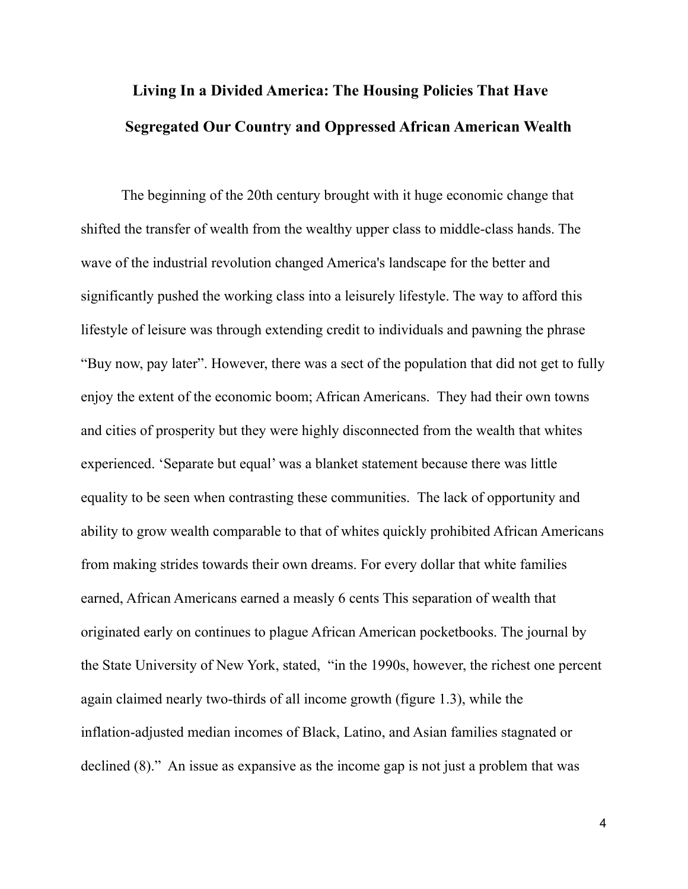## **Living In a Divided America: The Housing Policies That Have Segregated Our Country and Oppressed African American Wealth**

The beginning of the 20th century brought with it huge economic change that shifted the transfer of wealth from the wealthy upper class to middle-class hands. The wave of the industrial revolution changed America's landscape for the better and significantly pushed the working class into a leisurely lifestyle. The way to afford this lifestyle of leisure was through extending credit to individuals and pawning the phrase "Buy now, pay later". However, there was a sect of the population that did not get to fully enjoy the extent of the economic boom; African Americans. They had their own towns and cities of prosperity but they were highly disconnected from the wealth that whites experienced. 'Separate but equal' was a blanket statement because there was little equality to be seen when contrasting these communities. The lack of opportunity and ability to grow wealth comparable to that of whites quickly prohibited African Americans from making strides towards their own dreams. For every dollar that white families earned, African Americans earned a measly 6 cents This separation of wealth that originated early on continues to plague African American pocketbooks. The journal by the State University of New York, stated, "in the 1990s, however, the richest one percent again claimed nearly two-thirds of all income growth (figure 1.3), while the inflation-adjusted median incomes of Black, Latino, and Asian families stagnated or declined (8)." An issue as expansive as the income gap is not just a problem that was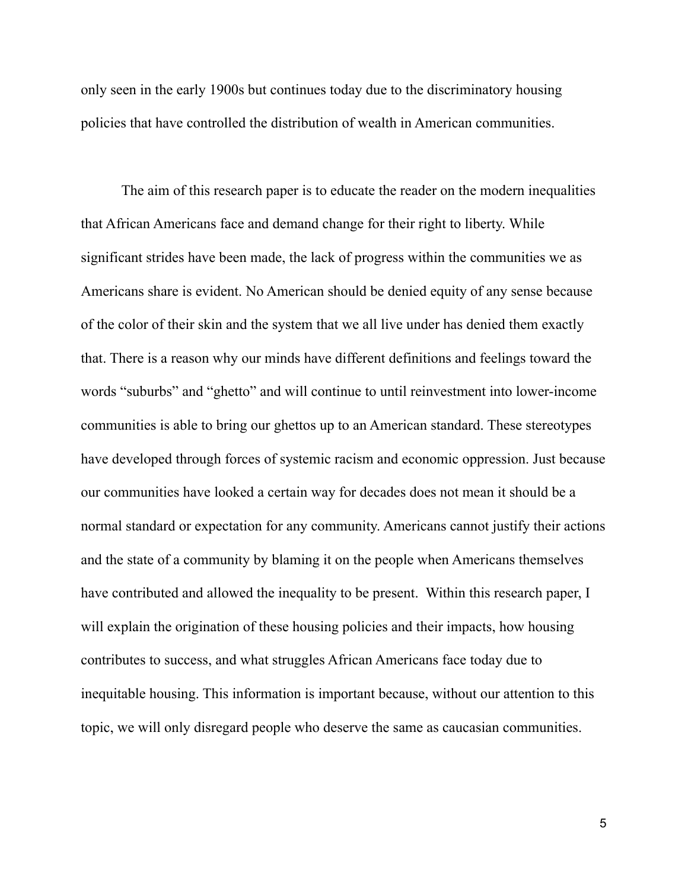only seen in the early 1900s but continues today due to the discriminatory housing policies that have controlled the distribution of wealth in American communities.

The aim of this research paper is to educate the reader on the modern inequalities that African Americans face and demand change for their right to liberty. While significant strides have been made, the lack of progress within the communities we as Americans share is evident. No American should be denied equity of any sense because of the color of their skin and the system that we all live under has denied them exactly that. There is a reason why our minds have different definitions and feelings toward the words "suburbs" and "ghetto" and will continue to until reinvestment into lower-income communities is able to bring our ghettos up to an American standard. These stereotypes have developed through forces of systemic racism and economic oppression. Just because our communities have looked a certain way for decades does not mean it should be a normal standard or expectation for any community. Americans cannot justify their actions and the state of a community by blaming it on the people when Americans themselves have contributed and allowed the inequality to be present. Within this research paper, I will explain the origination of these housing policies and their impacts, how housing contributes to success, and what struggles African Americans face today due to inequitable housing. This information is important because, without our attention to this topic, we will only disregard people who deserve the same as caucasian communities.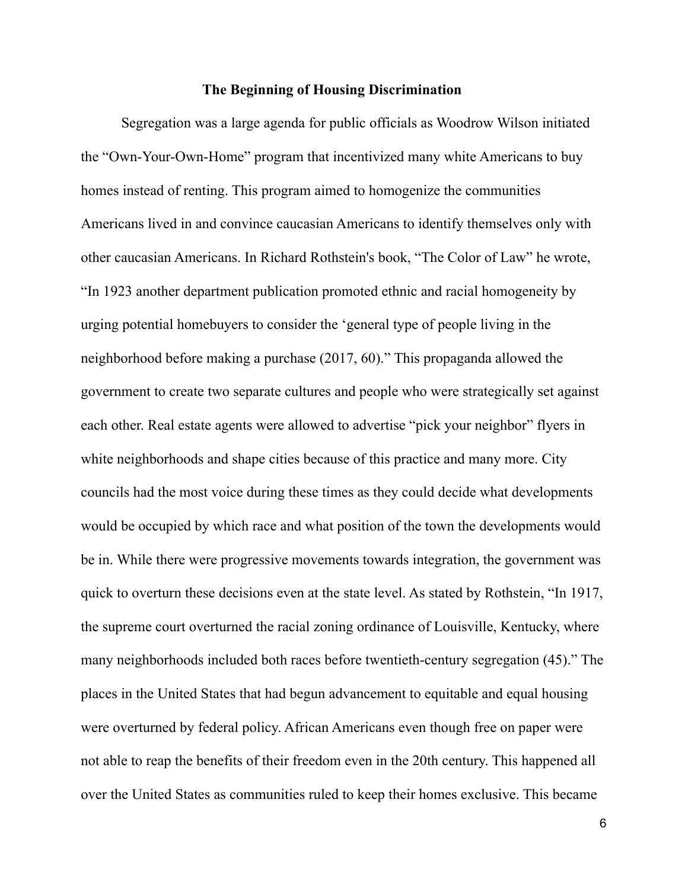#### **The Beginning of Housing Discrimination**

Segregation was a large agenda for public officials as Woodrow Wilson initiated the "Own-Your-Own-Home" program that incentivized many white Americans to buy homes instead of renting. This program aimed to homogenize the communities Americans lived in and convince caucasian Americans to identify themselves only with other caucasian Americans. In Richard Rothstein's book, "The Color of Law" he wrote, "In 1923 another department publication promoted ethnic and racial homogeneity by urging potential homebuyers to consider the 'general type of people living in the neighborhood before making a purchase (2017, 60)." This propaganda allowed the government to create two separate cultures and people who were strategically set against each other. Real estate agents were allowed to advertise "pick your neighbor" flyers in white neighborhoods and shape cities because of this practice and many more. City councils had the most voice during these times as they could decide what developments would be occupied by which race and what position of the town the developments would be in. While there were progressive movements towards integration, the government was quick to overturn these decisions even at the state level. As stated by Rothstein, "In 1917, the supreme court overturned the racial zoning ordinance of Louisville, Kentucky, where many neighborhoods included both races before twentieth-century segregation (45)." The places in the United States that had begun advancement to equitable and equal housing were overturned by federal policy. African Americans even though free on paper were not able to reap the benefits of their freedom even in the 20th century. This happened all over the United States as communities ruled to keep their homes exclusive. This became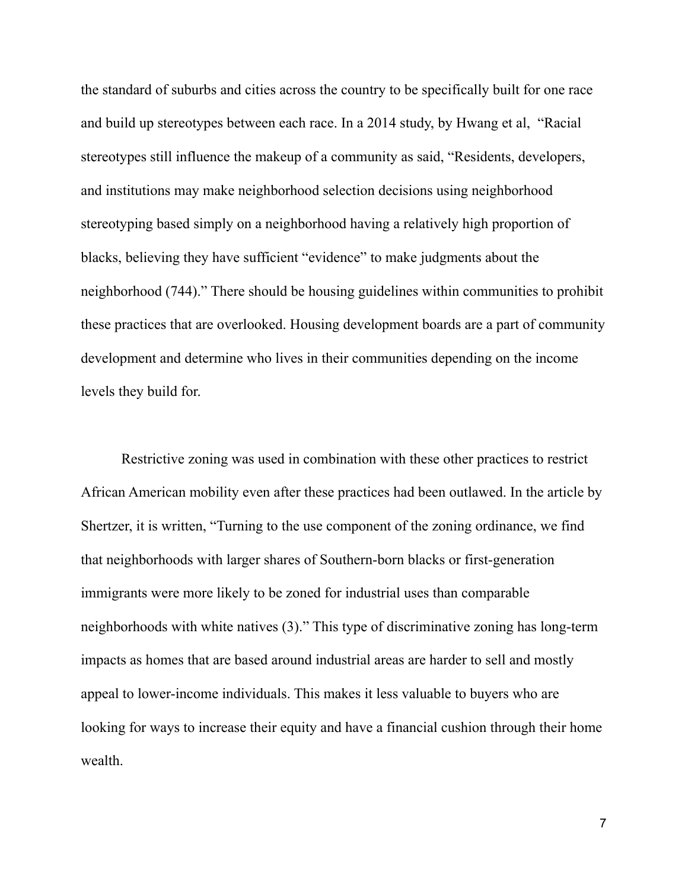the standard of suburbs and cities across the country to be specifically built for one race and build up stereotypes between each race. In a 2014 study, by Hwang et al, "Racial stereotypes still influence the makeup of a community as said, "Residents, developers, and institutions may make neighborhood selection decisions using neighborhood stereotyping based simply on a neighborhood having a relatively high proportion of blacks, believing they have sufficient "evidence" to make judgments about the neighborhood (744)." There should be housing guidelines within communities to prohibit these practices that are overlooked. Housing development boards are a part of community development and determine who lives in their communities depending on the income levels they build for.

Restrictive zoning was used in combination with these other practices to restrict African American mobility even after these practices had been outlawed. In the article by Shertzer, it is written, "Turning to the use component of the zoning ordinance, we find that neighborhoods with larger shares of Southern-born blacks or first-generation immigrants were more likely to be zoned for industrial uses than comparable neighborhoods with white natives (3)." This type of discriminative zoning has long-term impacts as homes that are based around industrial areas are harder to sell and mostly appeal to lower-income individuals. This makes it less valuable to buyers who are looking for ways to increase their equity and have a financial cushion through their home wealth.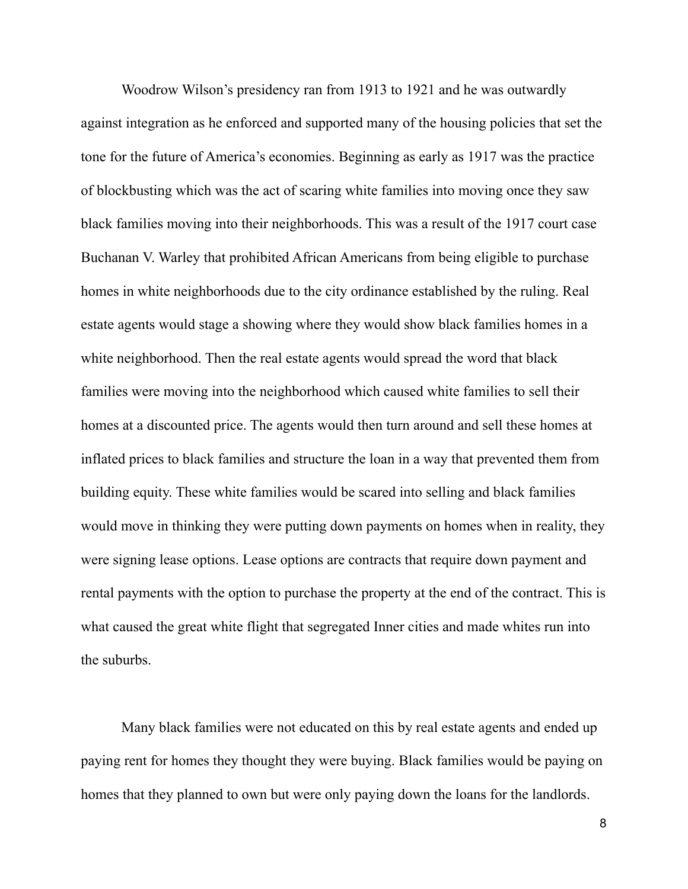Woodrow Wilson's presidency ran from 1913 to 1921 and he was outwardly against integration as he enforced and supported many of the housing policies that set the tone for the future of America's economies. Beginning as early as 1917 was the practice of blockbusting which was the act of scaring white families into moving once they saw black families moving into their neighborhoods. This was a result of the 1917 court case Buchanan V. Warley that prohibited African Americans from being eligible to purchase homes in white neighborhoods due to the city ordinance established by the ruling. Real estate agents would stage a showing where they would show black families homes in a white neighborhood. Then the real estate agents would spread the word that black families were moving into the neighborhood which caused white families to sell their homes at a discounted price. The agents would then turn around and sell these homes at inflated prices to black families and structure the loan in a way that prevented them from building equity. These white families would be scared into selling and black families would move in thinking they were putting down payments on homes when in reality, they were signing lease options. Lease options are contracts that require down payment and rental payments with the option to purchase the property at the end of the contract. This is what caused the great white flight that segregated Inner cities and made whites run into the suburbs.

Many black families were not educated on this by real estate agents and ended up paying rent for homes they thought they were buying. Black families would be paying on homes that they planned to own but were only paying down the loans for the landlords.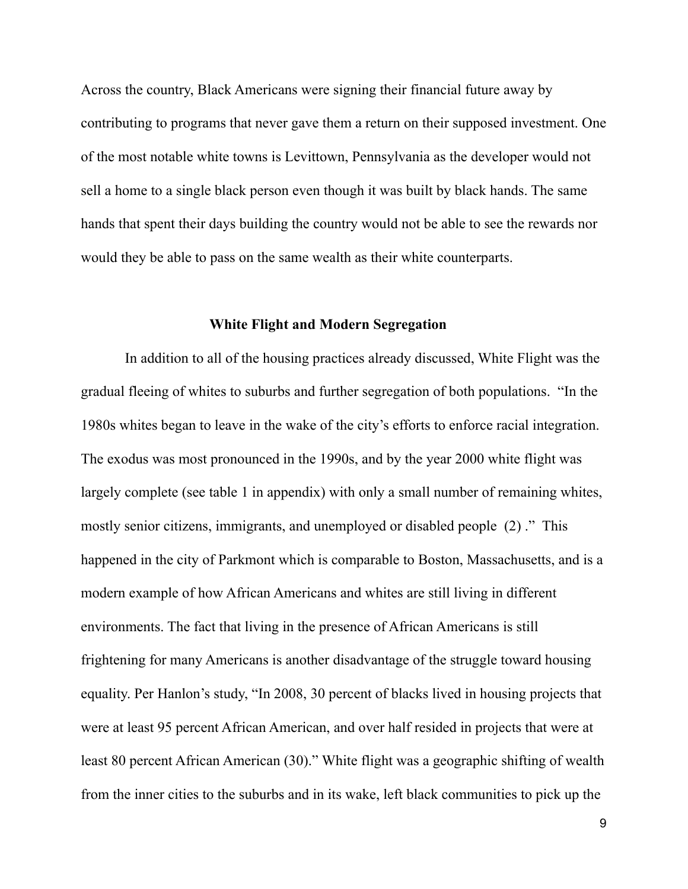Across the country, Black Americans were signing their financial future away by contributing to programs that never gave them a return on their supposed investment. One of the most notable white towns is Levittown, Pennsylvania as the developer would not sell a home to a single black person even though it was built by black hands. The same hands that spent their days building the country would not be able to see the rewards nor would they be able to pass on the same wealth as their white counterparts.

### **White Flight and Modern Segregation**

In addition to all of the housing practices already discussed, White Flight was the gradual fleeing of whites to suburbs and further segregation of both populations. "In the 1980s whites began to leave in the wake of the city's efforts to enforce racial integration. The exodus was most pronounced in the 1990s, and by the year 2000 white flight was largely complete (see table 1 in appendix) with only a small number of remaining whites, mostly senior citizens, immigrants, and unemployed or disabled people (2) ." This happened in the city of Parkmont which is comparable to Boston, Massachusetts, and is a modern example of how African Americans and whites are still living in different environments. The fact that living in the presence of African Americans is still frightening for many Americans is another disadvantage of the struggle toward housing equality. Per Hanlon's study, "In 2008, 30 percent of blacks lived in housing projects that were at least 95 percent African American, and over half resided in projects that were at least 80 percent African American (30)." White flight was a geographic shifting of wealth from the inner cities to the suburbs and in its wake, left black communities to pick up the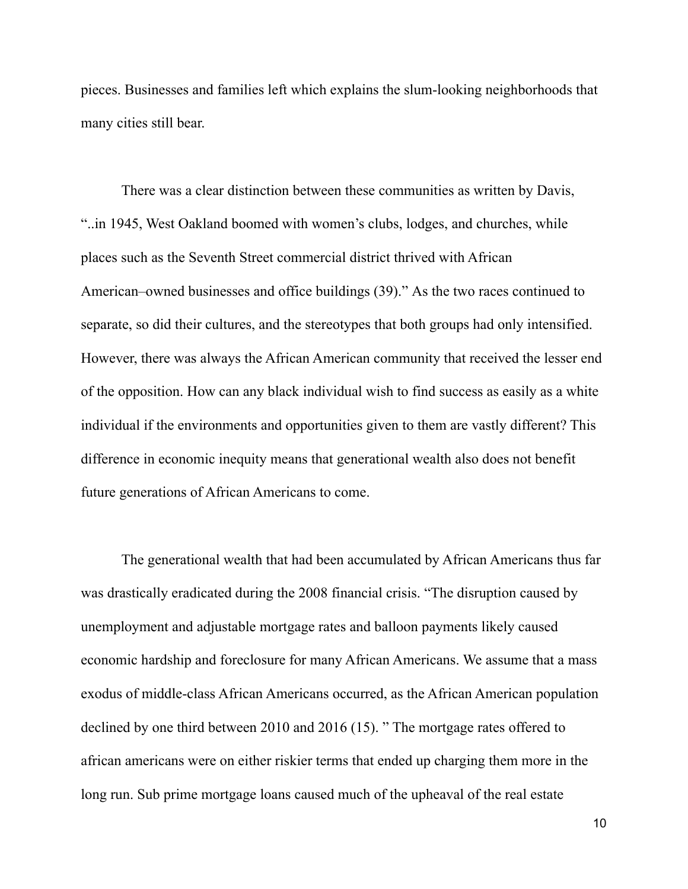pieces. Businesses and families left which explains the slum-looking neighborhoods that many cities still bear.

There was a clear distinction between these communities as written by Davis, "..in 1945, West Oakland boomed with women's clubs, lodges, and churches, while places such as the Seventh Street commercial district thrived with African American–owned businesses and office buildings (39)." As the two races continued to separate, so did their cultures, and the stereotypes that both groups had only intensified. However, there was always the African American community that received the lesser end of the opposition. How can any black individual wish to find success as easily as a white individual if the environments and opportunities given to them are vastly different? This difference in economic inequity means that generational wealth also does not benefit future generations of African Americans to come.

The generational wealth that had been accumulated by African Americans thus far was drastically eradicated during the 2008 financial crisis. "The disruption caused by unemployment and adjustable mortgage rates and balloon payments likely caused economic hardship and foreclosure for many African Americans. We assume that a mass exodus of middle-class African Americans occurred, as the African American population declined by one third between 2010 and 2016 (15). " The mortgage rates offered to african americans were on either riskier terms that ended up charging them more in the long run. Sub prime mortgage loans caused much of the upheaval of the real estate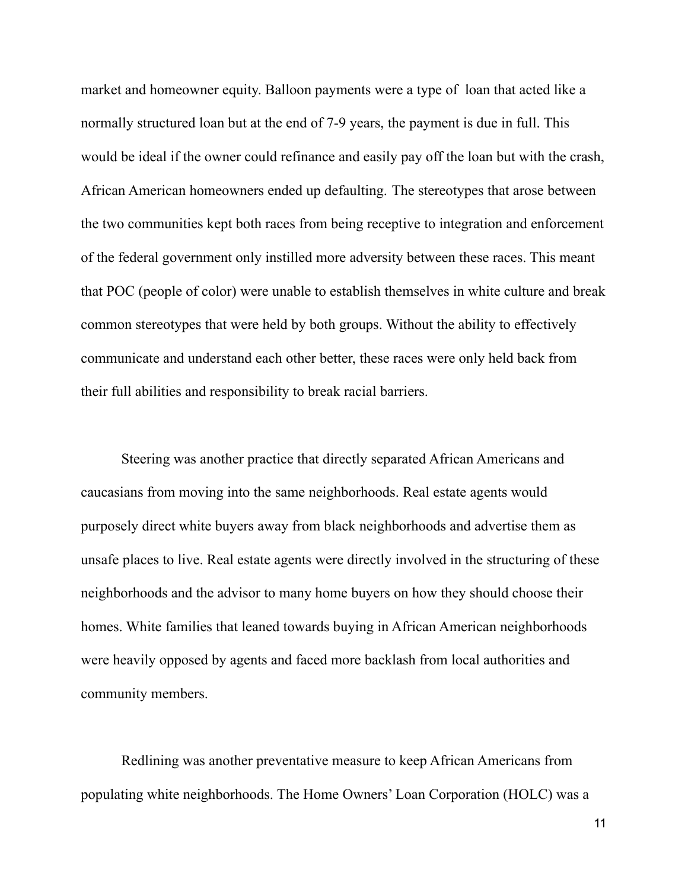market and homeowner equity. Balloon payments were a type of loan that acted like a normally structured loan but at the end of 7-9 years, the payment is due in full. This would be ideal if the owner could refinance and easily pay off the loan but with the crash, African American homeowners ended up defaulting. The stereotypes that arose between the two communities kept both races from being receptive to integration and enforcement of the federal government only instilled more adversity between these races. This meant that POC (people of color) were unable to establish themselves in white culture and break common stereotypes that were held by both groups. Without the ability to effectively communicate and understand each other better, these races were only held back from their full abilities and responsibility to break racial barriers.

Steering was another practice that directly separated African Americans and caucasians from moving into the same neighborhoods. Real estate agents would purposely direct white buyers away from black neighborhoods and advertise them as unsafe places to live. Real estate agents were directly involved in the structuring of these neighborhoods and the advisor to many home buyers on how they should choose their homes. White families that leaned towards buying in African American neighborhoods were heavily opposed by agents and faced more backlash from local authorities and community members.

Redlining was another preventative measure to keep African Americans from populating white neighborhoods. The Home Owners' Loan Corporation (HOLC) was a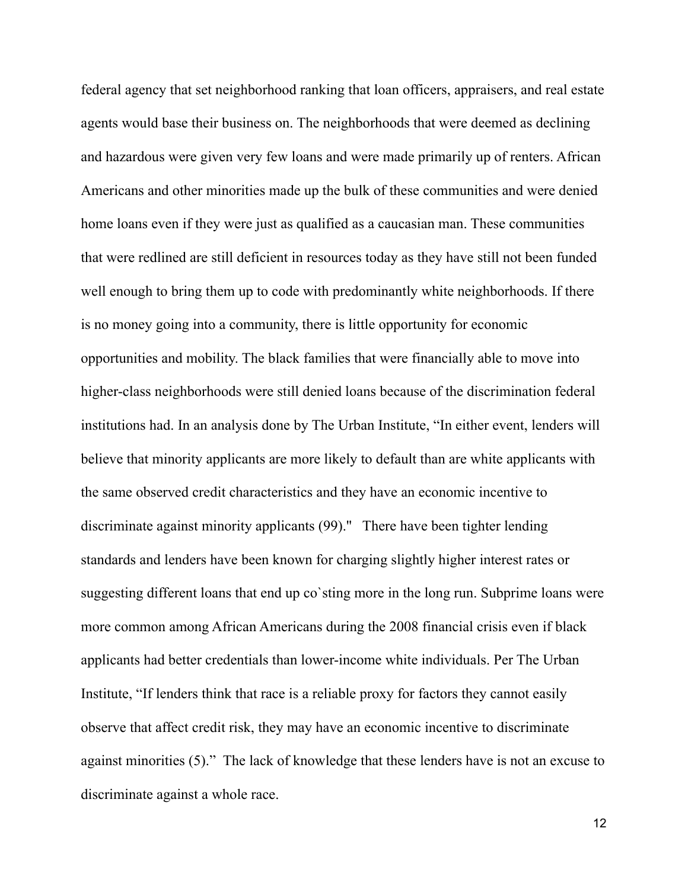federal agency that set neighborhood ranking that loan officers, appraisers, and real estate agents would base their business on. The neighborhoods that were deemed as declining and hazardous were given very few loans and were made primarily up of renters. African Americans and other minorities made up the bulk of these communities and were denied home loans even if they were just as qualified as a caucasian man. These communities that were redlined are still deficient in resources today as they have still not been funded well enough to bring them up to code with predominantly white neighborhoods. If there is no money going into a community, there is little opportunity for economic opportunities and mobility. The black families that were financially able to move into higher-class neighborhoods were still denied loans because of the discrimination federal institutions had. In an analysis done by The Urban Institute, "In either event, lenders will believe that minority applicants are more likely to default than are white applicants with the same observed credit characteristics and they have an economic incentive to discriminate against minority applicants (99).'' There have been tighter lending standards and lenders have been known for charging slightly higher interest rates or suggesting different loans that end up co`sting more in the long run. Subprime loans were more common among African Americans during the 2008 financial crisis even if black applicants had better credentials than lower-income white individuals. Per The Urban Institute, "If lenders think that race is a reliable proxy for factors they cannot easily observe that affect credit risk, they may have an economic incentive to discriminate against minorities (5)." The lack of knowledge that these lenders have is not an excuse to discriminate against a whole race.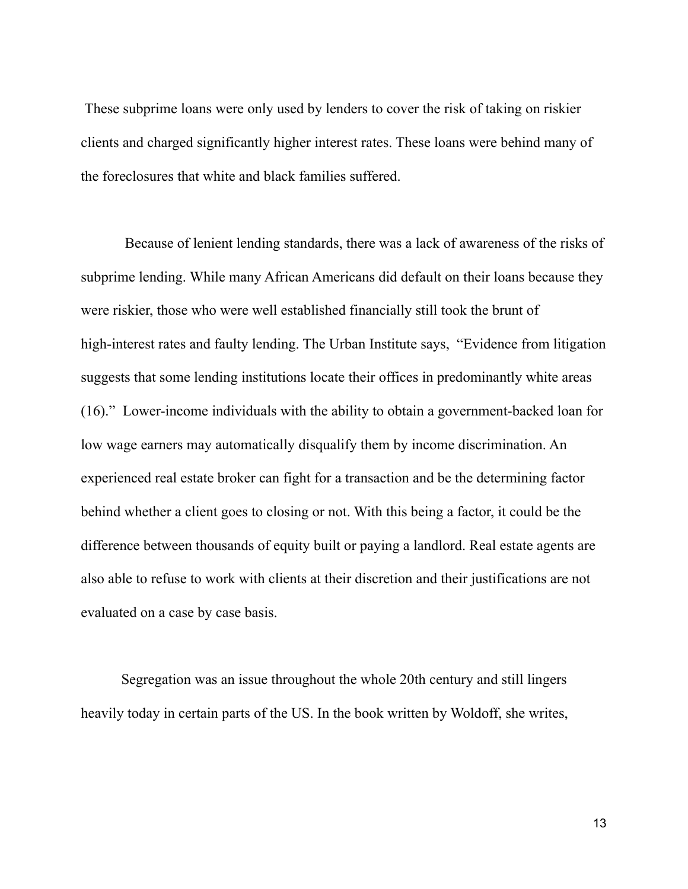These subprime loans were only used by lenders to cover the risk of taking on riskier clients and charged significantly higher interest rates. These loans were behind many of the foreclosures that white and black families suffered.

Because of lenient lending standards, there was a lack of awareness of the risks of subprime lending. While many African Americans did default on their loans because they were riskier, those who were well established financially still took the brunt of high-interest rates and faulty lending. The Urban Institute says, "Evidence from litigation suggests that some lending institutions locate their offices in predominantly white areas (16)." Lower-income individuals with the ability to obtain a government-backed loan for low wage earners may automatically disqualify them by income discrimination. An experienced real estate broker can fight for a transaction and be the determining factor behind whether a client goes to closing or not. With this being a factor, it could be the difference between thousands of equity built or paying a landlord. Real estate agents are also able to refuse to work with clients at their discretion and their justifications are not evaluated on a case by case basis.

Segregation was an issue throughout the whole 20th century and still lingers heavily today in certain parts of the US. In the book written by Woldoff, she writes,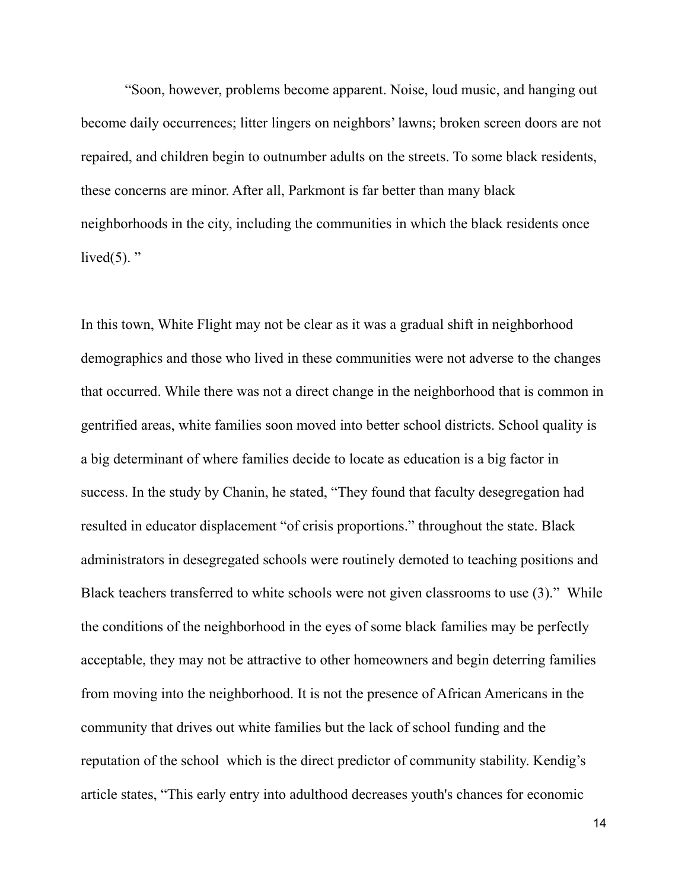"Soon, however, problems become apparent. Noise, loud music, and hanging out become daily occurrences; litter lingers on neighbors' lawns; broken screen doors are not repaired, and children begin to outnumber adults on the streets. To some black residents, these concerns are minor. After all, Parkmont is far better than many black neighborhoods in the city, including the communities in which the black residents once lived $(5)$ . "

In this town, White Flight may not be clear as it was a gradual shift in neighborhood demographics and those who lived in these communities were not adverse to the changes that occurred. While there was not a direct change in the neighborhood that is common in gentrified areas, white families soon moved into better school districts. School quality is a big determinant of where families decide to locate as education is a big factor in success. In the study by Chanin, he stated, "They found that faculty desegregation had resulted in educator displacement "of crisis proportions." throughout the state. Black administrators in desegregated schools were routinely demoted to teaching positions and Black teachers transferred to white schools were not given classrooms to use (3)." While the conditions of the neighborhood in the eyes of some black families may be perfectly acceptable, they may not be attractive to other homeowners and begin deterring families from moving into the neighborhood. It is not the presence of African Americans in the community that drives out white families but the lack of school funding and the reputation of the school which is the direct predictor of community stability. Kendig's article states, "This early entry into adulthood decreases youth's chances for economic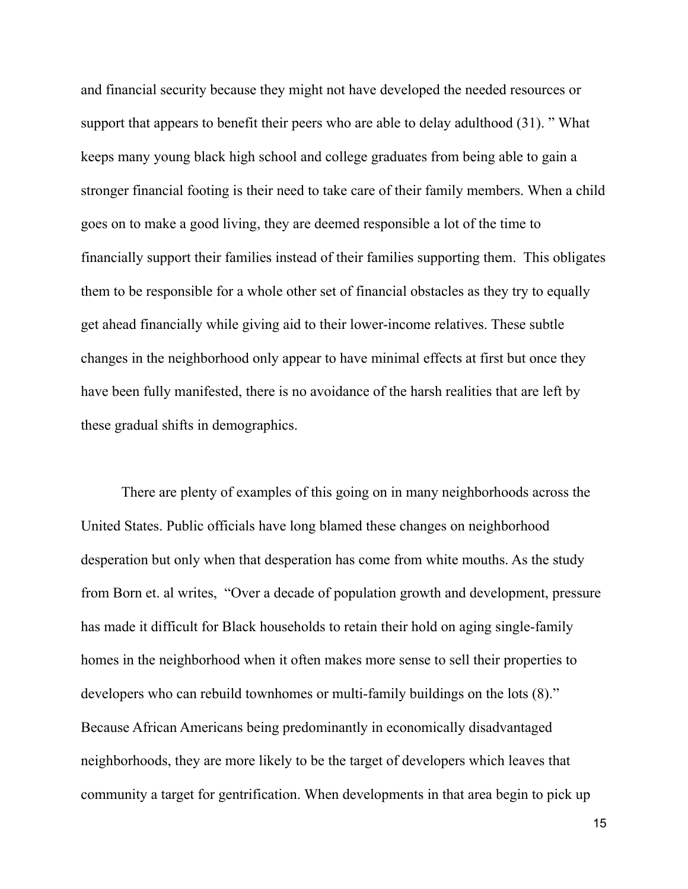and financial security because they might not have developed the needed resources or support that appears to benefit their peers who are able to delay adulthood (31). " What keeps many young black high school and college graduates from being able to gain a stronger financial footing is their need to take care of their family members. When a child goes on to make a good living, they are deemed responsible a lot of the time to financially support their families instead of their families supporting them. This obligates them to be responsible for a whole other set of financial obstacles as they try to equally get ahead financially while giving aid to their lower-income relatives. These subtle changes in the neighborhood only appear to have minimal effects at first but once they have been fully manifested, there is no avoidance of the harsh realities that are left by these gradual shifts in demographics.

There are plenty of examples of this going on in many neighborhoods across the United States. Public officials have long blamed these changes on neighborhood desperation but only when that desperation has come from white mouths. As the study from Born et. al writes, "Over a decade of population growth and development, pressure has made it difficult for Black households to retain their hold on aging single-family homes in the neighborhood when it often makes more sense to sell their properties to developers who can rebuild townhomes or multi-family buildings on the lots (8)." Because African Americans being predominantly in economically disadvantaged neighborhoods, they are more likely to be the target of developers which leaves that community a target for gentrification. When developments in that area begin to pick up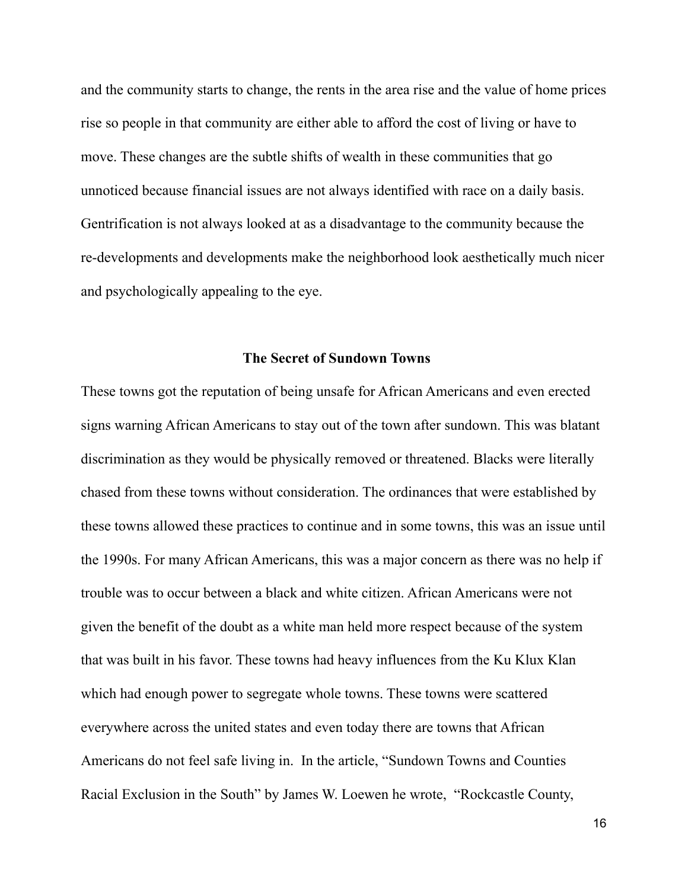and the community starts to change, the rents in the area rise and the value of home prices rise so people in that community are either able to afford the cost of living or have to move. These changes are the subtle shifts of wealth in these communities that go unnoticed because financial issues are not always identified with race on a daily basis. Gentrification is not always looked at as a disadvantage to the community because the re-developments and developments make the neighborhood look aesthetically much nicer and psychologically appealing to the eye.

## **The Secret of Sundown Towns**

These towns got the reputation of being unsafe for African Americans and even erected signs warning African Americans to stay out of the town after sundown. This was blatant discrimination as they would be physically removed or threatened. Blacks were literally chased from these towns without consideration. The ordinances that were established by these towns allowed these practices to continue and in some towns, this was an issue until the 1990s. For many African Americans, this was a major concern as there was no help if trouble was to occur between a black and white citizen. African Americans were not given the benefit of the doubt as a white man held more respect because of the system that was built in his favor. These towns had heavy influences from the Ku Klux Klan which had enough power to segregate whole towns. These towns were scattered everywhere across the united states and even today there are towns that African Americans do not feel safe living in. In the article, "Sundown Towns and Counties Racial Exclusion in the South" by James W. Loewen he wrote, "Rockcastle County,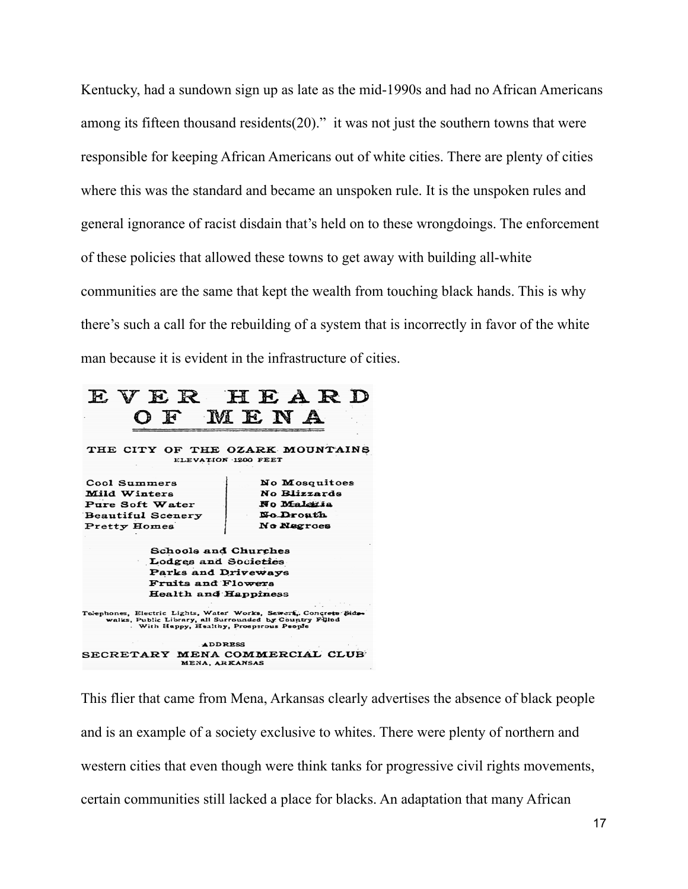Kentucky, had a sundown sign up as late as the mid-1990s and had no African Americans among its fifteen thousand residents $(20)$ ." it was not just the southern towns that were responsible for keeping African Americans out of white cities. There are plenty of cities where this was the standard and became an unspoken rule. It is the unspoken rules and general ignorance of racist disdain that's held on to these wrongdoings. The enforcement of these policies that allowed these towns to get away with building all-white communities are the same that kept the wealth from touching black hands. This is why there's such a call for the rebuilding of a system that is incorrectly in favor of the white man because it is evident in the infrastructure of cities.

## EVER HEARD MENA  $\Omega$  F

THE CITY OF THE OZARK MOUNTAINS ELEVATION 1200 FEET

Cool Summers Mild Winters Pure Soft Water Beautiful Scenery Pretty Homes

No Mosquitoes No Riizzards No Maleria No.Drouth No Negroes

Schools and Churches Lodges and Societies Parks and Driveways Fruits and Flowers **Health and Happiness** 

Toephones, Electric Lights, Water Works, Sewert, Concrete Sidewalks, Public Library, all Surrounded by Country Fillod With Happy, Healthy, Prosperous People

ADDRESS SECRETARY MENA COMMERCIAL CLUB MENA, ARKANSAS

This flier that came from Mena, Arkansas clearly advertises the absence of black people and is an example of a society exclusive to whites. There were plenty of northern and western cities that even though were think tanks for progressive civil rights movements, certain communities still lacked a place for blacks. An adaptation that many African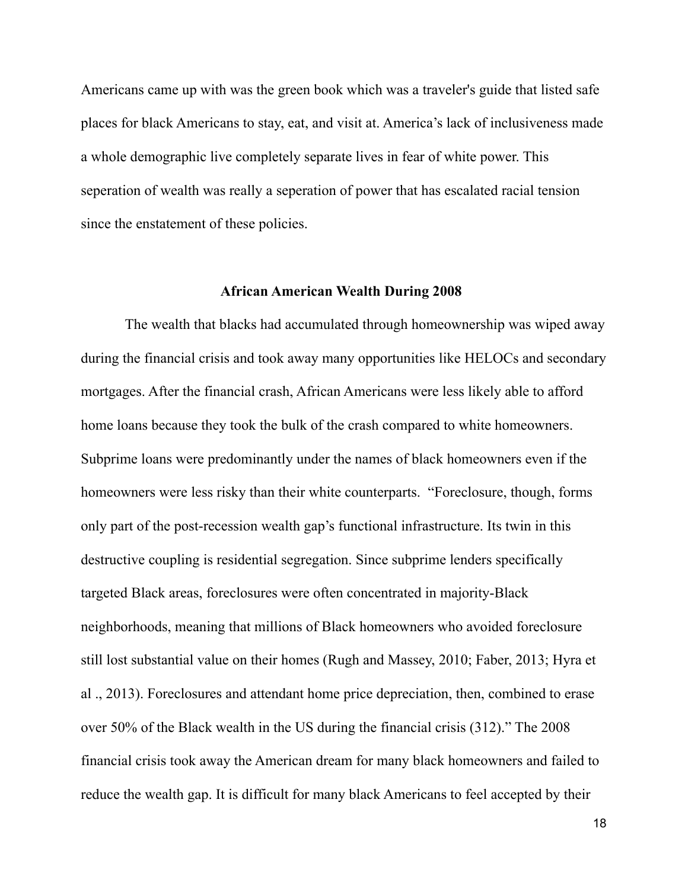Americans came up with was the green book which was a traveler's guide that listed safe places for black Americans to stay, eat, and visit at. America's lack of inclusiveness made a whole demographic live completely separate lives in fear of white power. This seperation of wealth was really a seperation of power that has escalated racial tension since the enstatement of these policies.

### **African American Wealth During 2008**

The wealth that blacks had accumulated through homeownership was wiped away during the financial crisis and took away many opportunities like HELOCs and secondary mortgages. After the financial crash, African Americans were less likely able to afford home loans because they took the bulk of the crash compared to white homeowners. Subprime loans were predominantly under the names of black homeowners even if the homeowners were less risky than their white counterparts. "Foreclosure, though, forms only part of the post-recession wealth gap's functional infrastructure. Its twin in this destructive coupling is residential segregation. Since subprime lenders specifically targeted Black areas, foreclosures were often concentrated in majority-Black neighborhoods, meaning that millions of Black homeowners who avoided foreclosure still lost substantial value on their homes (Rugh and Massey, 2010; Faber, 2013; Hyra et al ., 2013). Foreclosures and attendant home price depreciation, then, combined to erase over 50% of the Black wealth in the US during the financial crisis (312)." The 2008 financial crisis took away the American dream for many black homeowners and failed to reduce the wealth gap. It is difficult for many black Americans to feel accepted by their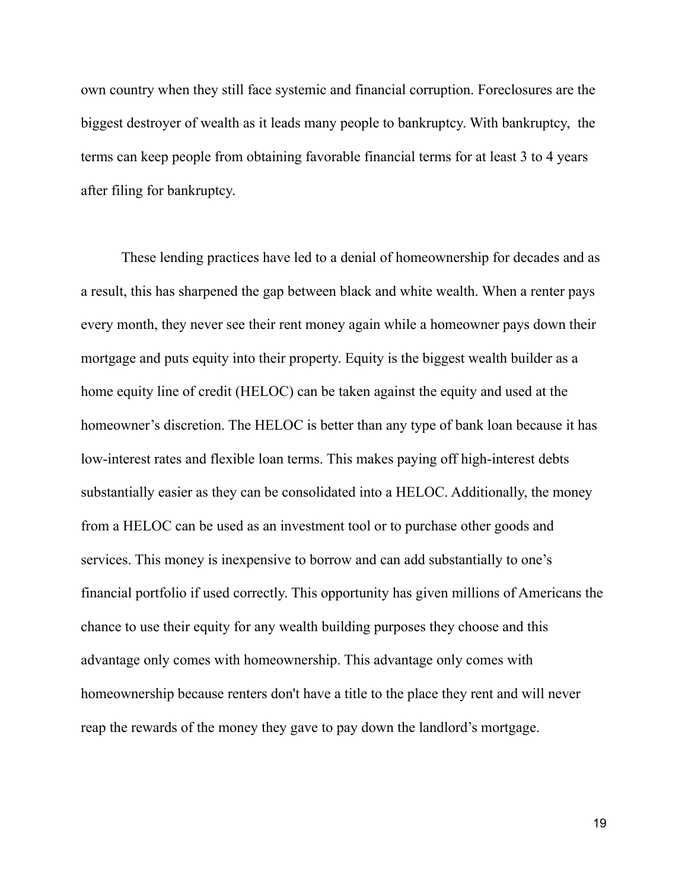own country when they still face systemic and financial corruption. Foreclosures are the biggest destroyer of wealth as it leads many people to bankruptcy. With bankruptcy, the terms can keep people from obtaining favorable financial terms for at least 3 to 4 years after filing for bankruptcy.

These lending practices have led to a denial of homeownership for decades and as a result, this has sharpened the gap between black and white wealth. When a renter pays every month, they never see their rent money again while a homeowner pays down their mortgage and puts equity into their property. Equity is the biggest wealth builder as a home equity line of credit (HELOC) can be taken against the equity and used at the homeowner's discretion. The HELOC is better than any type of bank loan because it has low-interest rates and flexible loan terms. This makes paying off high-interest debts substantially easier as they can be consolidated into a HELOC. Additionally, the money from a HELOC can be used as an investment tool or to purchase other goods and services. This money is inexpensive to borrow and can add substantially to one's financial portfolio if used correctly. This opportunity has given millions of Americans the chance to use their equity for any wealth building purposes they choose and this advantage only comes with homeownership. This advantage only comes with homeownership because renters don't have a title to the place they rent and will never reap the rewards of the money they gave to pay down the landlord's mortgage.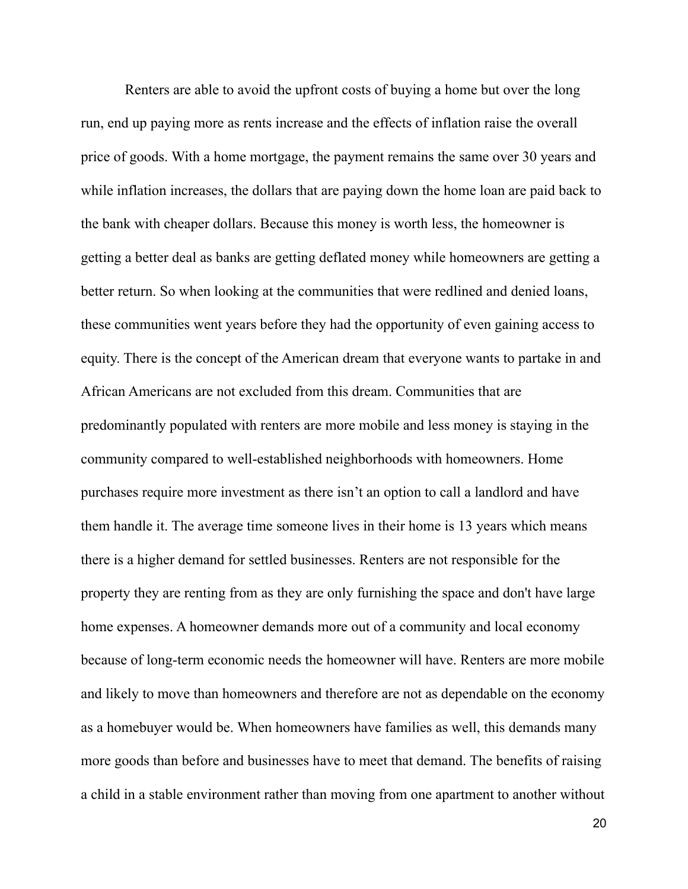Renters are able to avoid the upfront costs of buying a home but over the long run, end up paying more as rents increase and the effects of inflation raise the overall price of goods. With a home mortgage, the payment remains the same over 30 years and while inflation increases, the dollars that are paying down the home loan are paid back to the bank with cheaper dollars. Because this money is worth less, the homeowner is getting a better deal as banks are getting deflated money while homeowners are getting a better return. So when looking at the communities that were redlined and denied loans, these communities went years before they had the opportunity of even gaining access to equity. There is the concept of the American dream that everyone wants to partake in and African Americans are not excluded from this dream. Communities that are predominantly populated with renters are more mobile and less money is staying in the community compared to well-established neighborhoods with homeowners. Home purchases require more investment as there isn't an option to call a landlord and have them handle it. The average time someone lives in their home is 13 years which means there is a higher demand for settled businesses. Renters are not responsible for the property they are renting from as they are only furnishing the space and don't have large home expenses. A homeowner demands more out of a community and local economy because of long-term economic needs the homeowner will have. Renters are more mobile and likely to move than homeowners and therefore are not as dependable on the economy as a homebuyer would be. When homeowners have families as well, this demands many more goods than before and businesses have to meet that demand. The benefits of raising a child in a stable environment rather than moving from one apartment to another without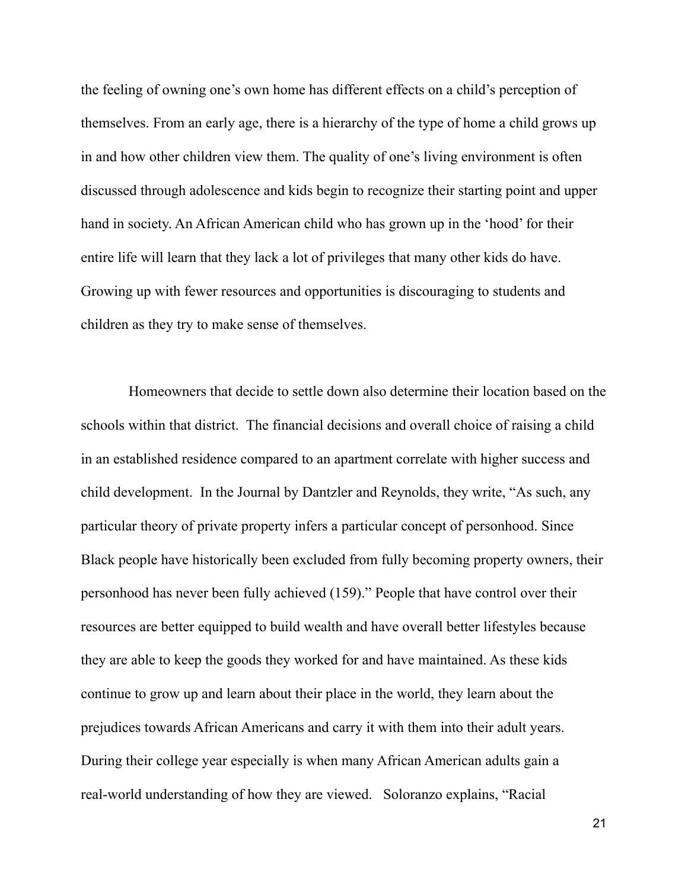the feeling of owning one's own home has different effects on a child's perception of themselves. From an early age, there is a hierarchy of the type of home a child grows up in and how other children view them. The quality of one's living environment is often discussed through adolescence and kids begin to recognize their starting point and upper hand in society. An African American child who has grown up in the 'hood' for their entire life will learn that they lack a lot of privileges that many other kids do have. Growing up with fewer resources and opportunities is discouraging to students and children as they try to make sense of themselves.

Homeowners that decide to settle down also determine their location based on the schools within that district. The financial decisions and overall choice of raising a child in an established residence compared to an apartment correlate with higher success and child development. In the Journal by Dantzler and Reynolds, they write, "As such, any particular theory of private property infers a particular concept of personhood. Since Black people have historically been excluded from fully becoming property owners, their personhood has never been fully achieved (159)." People that have control over their resources are better equipped to build wealth and have overall better lifestyles because they are able to keep the goods they worked for and have maintained. As these kids continue to grow up and learn about their place in the world, they learn about the prejudices towards African Americans and carry it with them into their adult years. During their college year especially is when many African American adults gain a real-world understanding of how they are viewed. Soloranzo explains, "Racial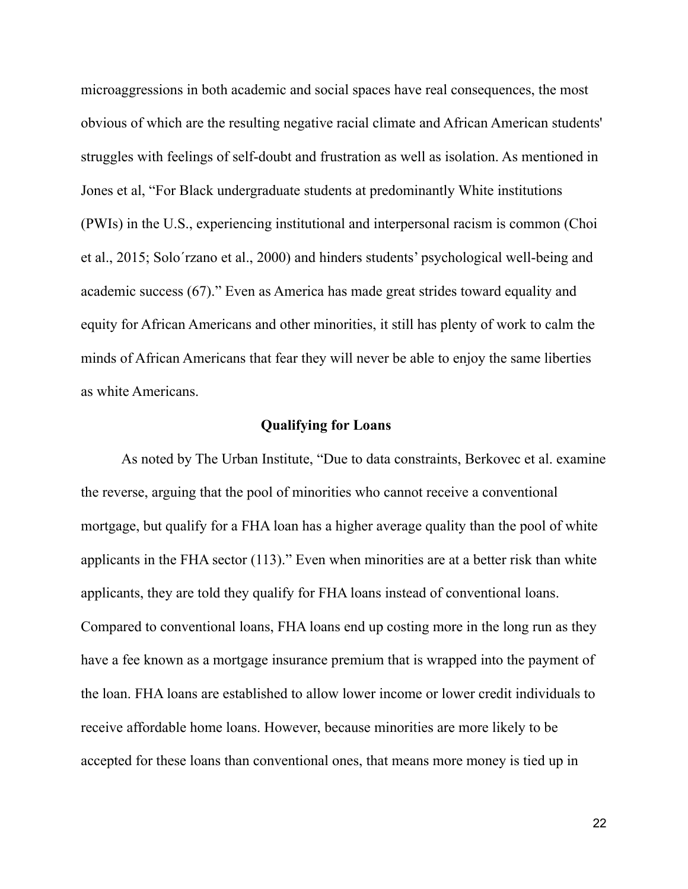microaggressions in both academic and social spaces have real consequences, the most obvious of which are the resulting negative racial climate and African American students' struggles with feelings of self-doubt and frustration as well as isolation. As mentioned in Jones et al, "For Black undergraduate students at predominantly White institutions (PWIs) in the U.S., experiencing institutional and interpersonal racism is common (Choi et al., 2015; Solo´rzano et al., 2000) and hinders students' psychological well-being and academic success (67)." Even as America has made great strides toward equality and equity for African Americans and other minorities, it still has plenty of work to calm the minds of African Americans that fear they will never be able to enjoy the same liberties as white Americans.

## **Qualifying for Loans**

As noted by The Urban Institute, "Due to data constraints, Berkovec et al. examine the reverse, arguing that the pool of minorities who cannot receive a conventional mortgage, but qualify for a FHA loan has a higher average quality than the pool of white applicants in the FHA sector (113)." Even when minorities are at a better risk than white applicants, they are told they qualify for FHA loans instead of conventional loans. Compared to conventional loans, FHA loans end up costing more in the long run as they have a fee known as a mortgage insurance premium that is wrapped into the payment of the loan. FHA loans are established to allow lower income or lower credit individuals to receive affordable home loans. However, because minorities are more likely to be accepted for these loans than conventional ones, that means more money is tied up in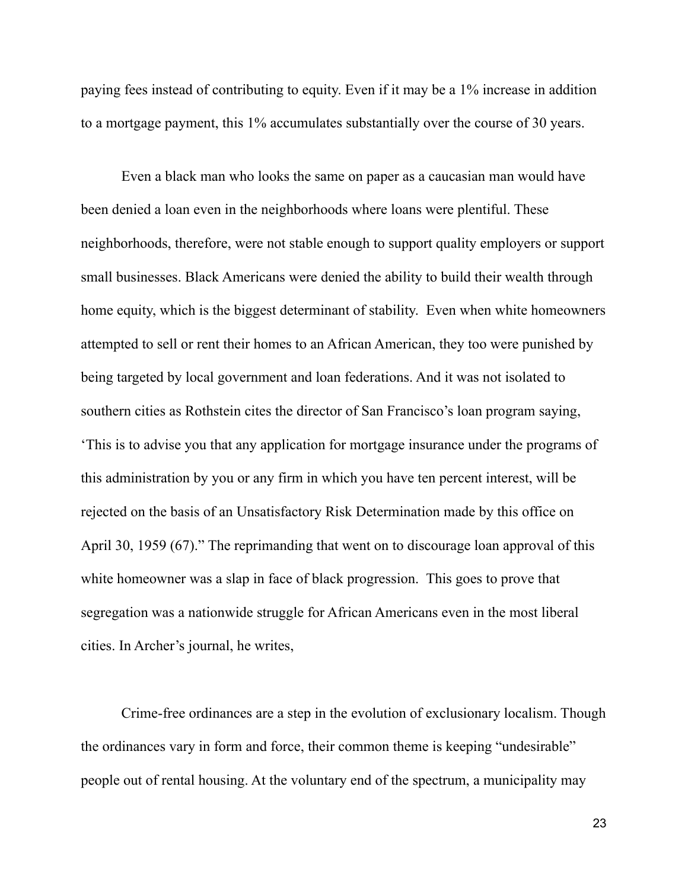paying fees instead of contributing to equity. Even if it may be a 1% increase in addition to a mortgage payment, this 1% accumulates substantially over the course of 30 years.

Even a black man who looks the same on paper as a caucasian man would have been denied a loan even in the neighborhoods where loans were plentiful. These neighborhoods, therefore, were not stable enough to support quality employers or support small businesses. Black Americans were denied the ability to build their wealth through home equity, which is the biggest determinant of stability. Even when white homeowners attempted to sell or rent their homes to an African American, they too were punished by being targeted by local government and loan federations. And it was not isolated to southern cities as Rothstein cites the director of San Francisco's loan program saying, 'This is to advise you that any application for mortgage insurance under the programs of this administration by you or any firm in which you have ten percent interest, will be rejected on the basis of an Unsatisfactory Risk Determination made by this office on April 30, 1959 (67)." The reprimanding that went on to discourage loan approval of this white homeowner was a slap in face of black progression. This goes to prove that segregation was a nationwide struggle for African Americans even in the most liberal cities. In Archer's journal, he writes,

Crime-free ordinances are a step in the evolution of exclusionary localism. Though the ordinances vary in form and force, their common theme is keeping "undesirable" people out of rental housing. At the voluntary end of the spectrum, a municipality may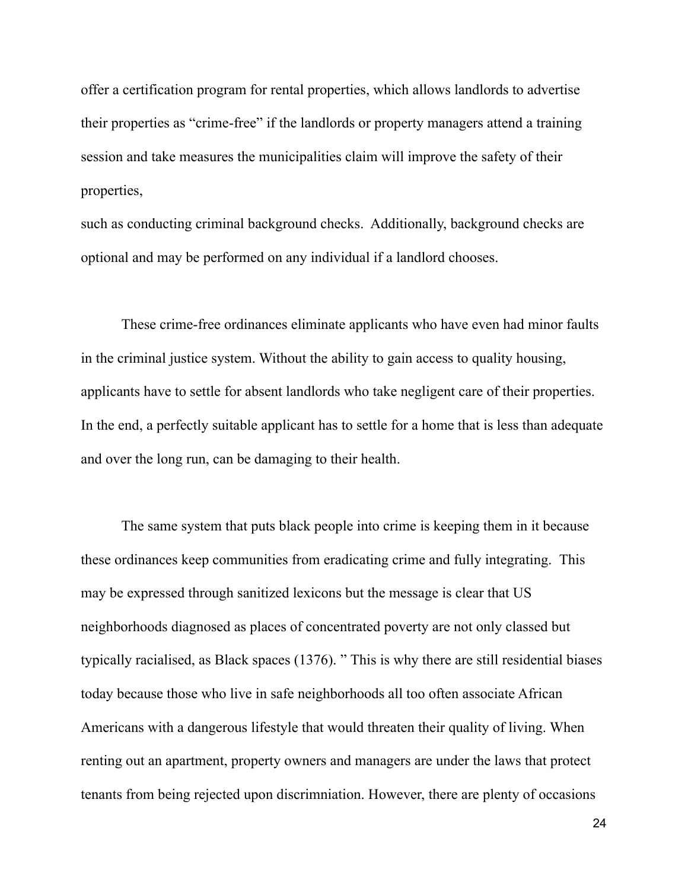offer a certification program for rental properties, which allows landlords to advertise their properties as "crime-free" if the landlords or property managers attend a training session and take measures the municipalities claim will improve the safety of their properties,

such as conducting criminal background checks. Additionally, background checks are optional and may be performed on any individual if a landlord chooses.

These crime-free ordinances eliminate applicants who have even had minor faults in the criminal justice system. Without the ability to gain access to quality housing, applicants have to settle for absent landlords who take negligent care of their properties. In the end, a perfectly suitable applicant has to settle for a home that is less than adequate and over the long run, can be damaging to their health.

The same system that puts black people into crime is keeping them in it because these ordinances keep communities from eradicating crime and fully integrating. This may be expressed through sanitized lexicons but the message is clear that US neighborhoods diagnosed as places of concentrated poverty are not only classed but typically racialised, as Black spaces (1376). " This is why there are still residential biases today because those who live in safe neighborhoods all too often associate African Americans with a dangerous lifestyle that would threaten their quality of living. When renting out an apartment, property owners and managers are under the laws that protect tenants from being rejected upon discrimniation. However, there are plenty of occasions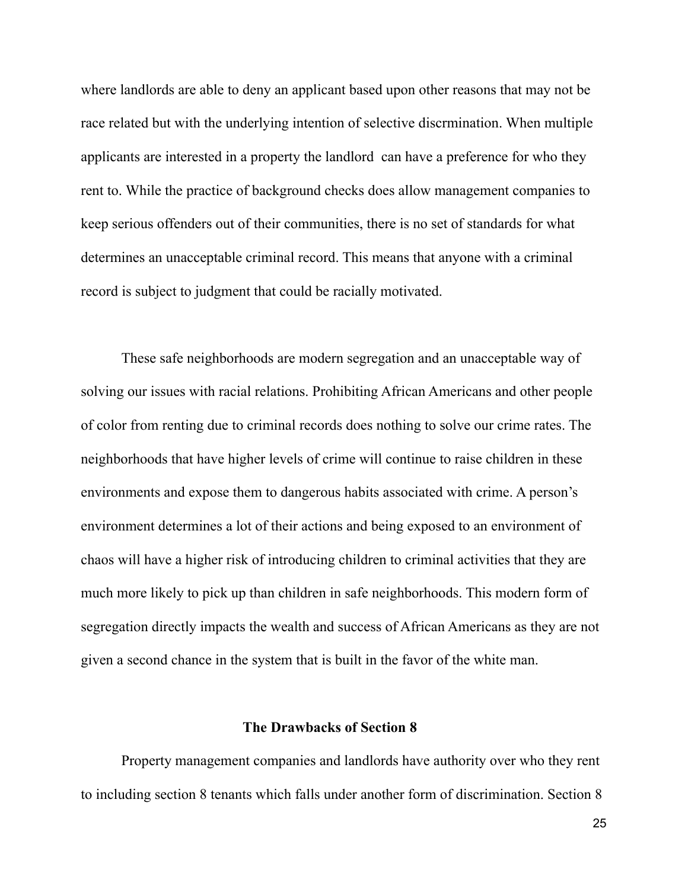where landlords are able to deny an applicant based upon other reasons that may not be race related but with the underlying intention of selective discrmination. When multiple applicants are interested in a property the landlord can have a preference for who they rent to. While the practice of background checks does allow management companies to keep serious offenders out of their communities, there is no set of standards for what determines an unacceptable criminal record. This means that anyone with a criminal record is subject to judgment that could be racially motivated.

These safe neighborhoods are modern segregation and an unacceptable way of solving our issues with racial relations. Prohibiting African Americans and other people of color from renting due to criminal records does nothing to solve our crime rates. The neighborhoods that have higher levels of crime will continue to raise children in these environments and expose them to dangerous habits associated with crime. A person's environment determines a lot of their actions and being exposed to an environment of chaos will have a higher risk of introducing children to criminal activities that they are much more likely to pick up than children in safe neighborhoods. This modern form of segregation directly impacts the wealth and success of African Americans as they are not given a second chance in the system that is built in the favor of the white man.

## **The Drawbacks of Section 8**

Property management companies and landlords have authority over who they rent to including section 8 tenants which falls under another form of discrimination. Section 8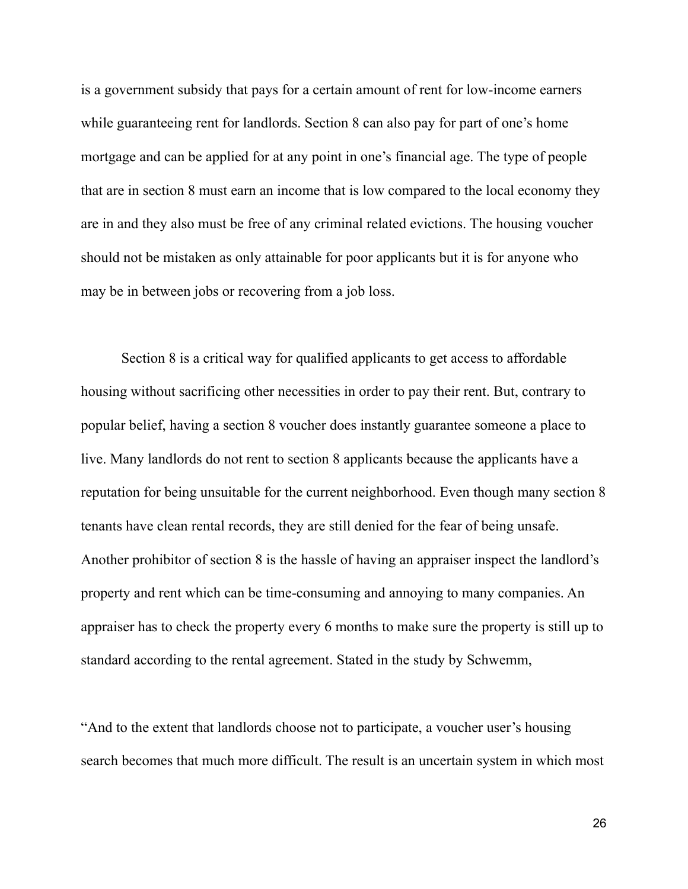is a government subsidy that pays for a certain amount of rent for low-income earners while guaranteeing rent for landlords. Section 8 can also pay for part of one's home mortgage and can be applied for at any point in one's financial age. The type of people that are in section 8 must earn an income that is low compared to the local economy they are in and they also must be free of any criminal related evictions. The housing voucher should not be mistaken as only attainable for poor applicants but it is for anyone who may be in between jobs or recovering from a job loss.

Section 8 is a critical way for qualified applicants to get access to affordable housing without sacrificing other necessities in order to pay their rent. But, contrary to popular belief, having a section 8 voucher does instantly guarantee someone a place to live. Many landlords do not rent to section 8 applicants because the applicants have a reputation for being unsuitable for the current neighborhood. Even though many section 8 tenants have clean rental records, they are still denied for the fear of being unsafe. Another prohibitor of section 8 is the hassle of having an appraiser inspect the landlord's property and rent which can be time-consuming and annoying to many companies. An appraiser has to check the property every 6 months to make sure the property is still up to standard according to the rental agreement. Stated in the study by Schwemm,

"And to the extent that landlords choose not to participate, a voucher user's housing search becomes that much more difficult. The result is an uncertain system in which most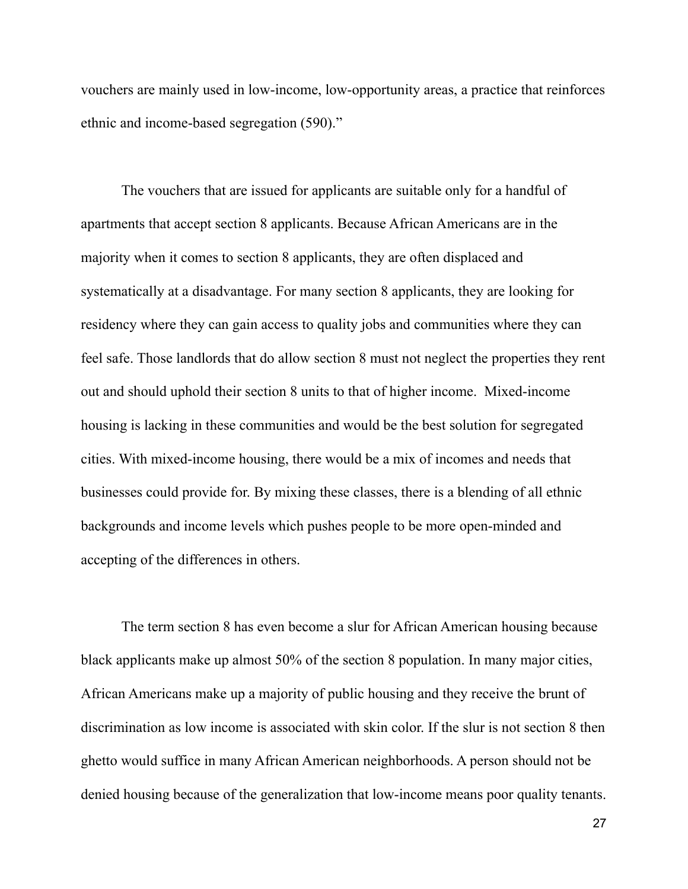vouchers are mainly used in low-income, low-opportunity areas, a practice that reinforces ethnic and income-based segregation (590)."

The vouchers that are issued for applicants are suitable only for a handful of apartments that accept section 8 applicants. Because African Americans are in the majority when it comes to section 8 applicants, they are often displaced and systematically at a disadvantage. For many section 8 applicants, they are looking for residency where they can gain access to quality jobs and communities where they can feel safe. Those landlords that do allow section 8 must not neglect the properties they rent out and should uphold their section 8 units to that of higher income. Mixed-income housing is lacking in these communities and would be the best solution for segregated cities. With mixed-income housing, there would be a mix of incomes and needs that businesses could provide for. By mixing these classes, there is a blending of all ethnic backgrounds and income levels which pushes people to be more open-minded and accepting of the differences in others.

The term section 8 has even become a slur for African American housing because black applicants make up almost 50% of the section 8 population. In many major cities, African Americans make up a majority of public housing and they receive the brunt of discrimination as low income is associated with skin color. If the slur is not section 8 then ghetto would suffice in many African American neighborhoods. A person should not be denied housing because of the generalization that low-income means poor quality tenants.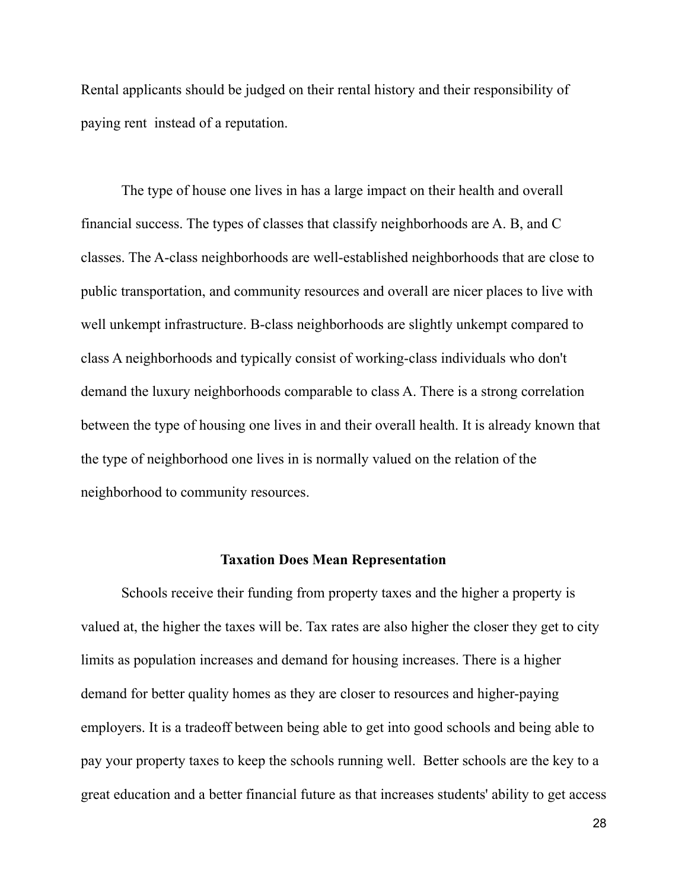Rental applicants should be judged on their rental history and their responsibility of paying rent instead of a reputation.

The type of house one lives in has a large impact on their health and overall financial success. The types of classes that classify neighborhoods are A. B, and C classes. The A-class neighborhoods are well-established neighborhoods that are close to public transportation, and community resources and overall are nicer places to live with well unkempt infrastructure. B-class neighborhoods are slightly unkempt compared to class A neighborhoods and typically consist of working-class individuals who don't demand the luxury neighborhoods comparable to class A. There is a strong correlation between the type of housing one lives in and their overall health. It is already known that the type of neighborhood one lives in is normally valued on the relation of the neighborhood to community resources.

#### **Taxation Does Mean Representation**

Schools receive their funding from property taxes and the higher a property is valued at, the higher the taxes will be. Tax rates are also higher the closer they get to city limits as population increases and demand for housing increases. There is a higher demand for better quality homes as they are closer to resources and higher-paying employers. It is a tradeoff between being able to get into good schools and being able to pay your property taxes to keep the schools running well. Better schools are the key to a great education and a better financial future as that increases students' ability to get access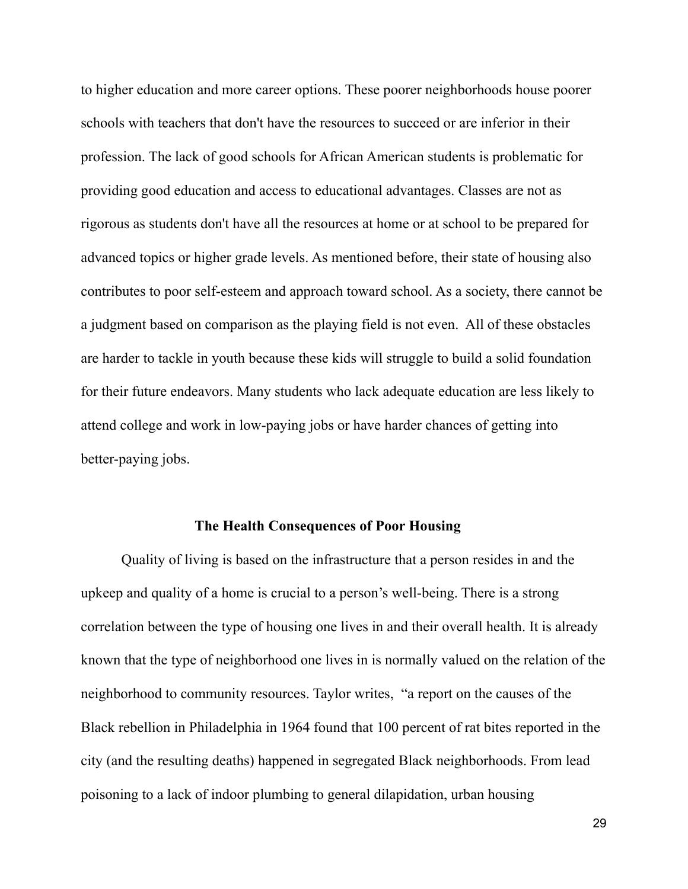to higher education and more career options. These poorer neighborhoods house poorer schools with teachers that don't have the resources to succeed or are inferior in their profession. The lack of good schools for African American students is problematic for providing good education and access to educational advantages. Classes are not as rigorous as students don't have all the resources at home or at school to be prepared for advanced topics or higher grade levels. As mentioned before, their state of housing also contributes to poor self-esteem and approach toward school. As a society, there cannot be a judgment based on comparison as the playing field is not even. All of these obstacles are harder to tackle in youth because these kids will struggle to build a solid foundation for their future endeavors. Many students who lack adequate education are less likely to attend college and work in low-paying jobs or have harder chances of getting into better-paying jobs.

## **The Health Consequences of Poor Housing**

Quality of living is based on the infrastructure that a person resides in and the upkeep and quality of a home is crucial to a person's well-being. There is a strong correlation between the type of housing one lives in and their overall health. It is already known that the type of neighborhood one lives in is normally valued on the relation of the neighborhood to community resources. Taylor writes, "a report on the causes of the Black rebellion in Philadelphia in 1964 found that 100 percent of rat bites reported in the city (and the resulting deaths) happened in segregated Black neighborhoods. From lead poisoning to a lack of indoor plumbing to general dilapidation, urban housing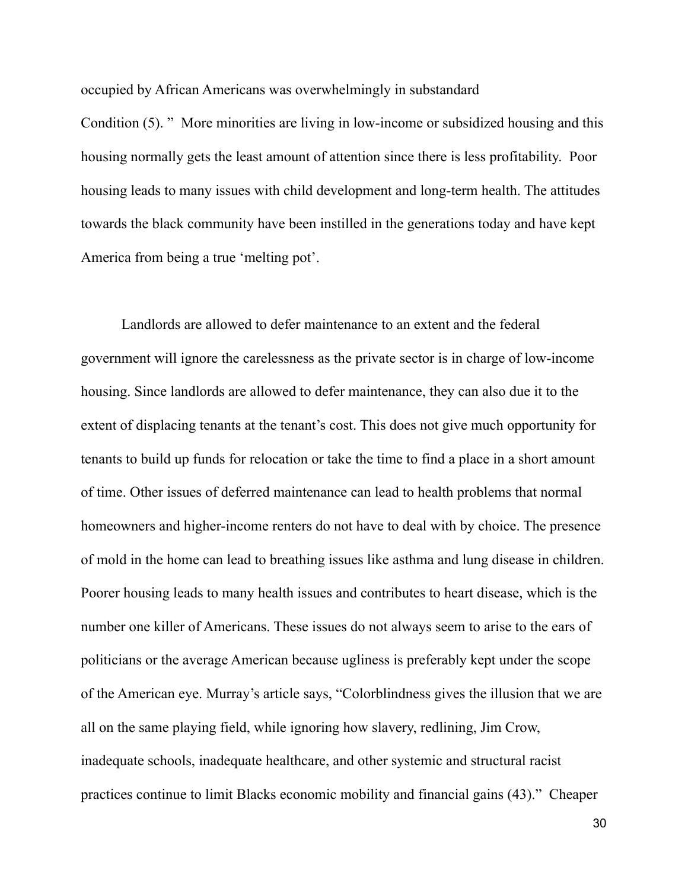occupied by African Americans was overwhelmingly in substandard

Condition (5). " More minorities are living in low-income or subsidized housing and this housing normally gets the least amount of attention since there is less profitability. Poor housing leads to many issues with child development and long-term health. The attitudes towards the black community have been instilled in the generations today and have kept America from being a true 'melting pot'.

Landlords are allowed to defer maintenance to an extent and the federal government will ignore the carelessness as the private sector is in charge of low-income housing. Since landlords are allowed to defer maintenance, they can also due it to the extent of displacing tenants at the tenant's cost. This does not give much opportunity for tenants to build up funds for relocation or take the time to find a place in a short amount of time. Other issues of deferred maintenance can lead to health problems that normal homeowners and higher-income renters do not have to deal with by choice. The presence of mold in the home can lead to breathing issues like asthma and lung disease in children. Poorer housing leads to many health issues and contributes to heart disease, which is the number one killer of Americans. These issues do not always seem to arise to the ears of politicians or the average American because ugliness is preferably kept under the scope of the American eye. Murray's article says, "Colorblindness gives the illusion that we are all on the same playing field, while ignoring how slavery, redlining, Jim Crow, inadequate schools, inadequate healthcare, and other systemic and structural racist practices continue to limit Blacks economic mobility and financial gains (43)." Cheaper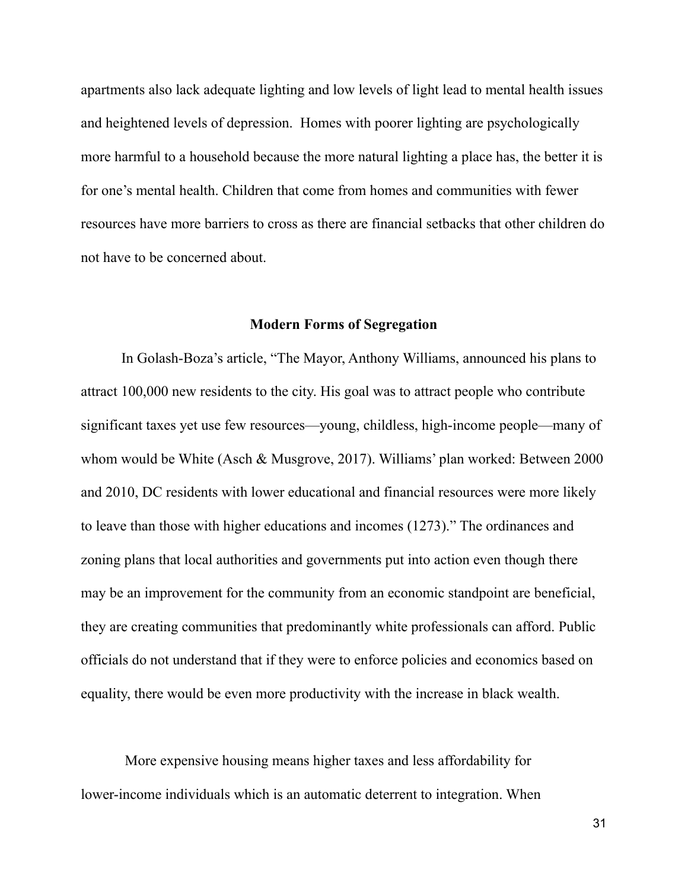apartments also lack adequate lighting and low levels of light lead to mental health issues and heightened levels of depression. Homes with poorer lighting are psychologically more harmful to a household because the more natural lighting a place has, the better it is for one's mental health. Children that come from homes and communities with fewer resources have more barriers to cross as there are financial setbacks that other children do not have to be concerned about.

### **Modern Forms of Segregation**

In Golash-Boza's article, "The Mayor, Anthony Williams, announced his plans to attract 100,000 new residents to the city. His goal was to attract people who contribute significant taxes yet use few resources—young, childless, high-income people—many of whom would be White (Asch & Musgrove, 2017). Williams' plan worked: Between 2000 and 2010, DC residents with lower educational and financial resources were more likely to leave than those with higher educations and incomes (1273)." The ordinances and zoning plans that local authorities and governments put into action even though there may be an improvement for the community from an economic standpoint are beneficial, they are creating communities that predominantly white professionals can afford. Public officials do not understand that if they were to enforce policies and economics based on equality, there would be even more productivity with the increase in black wealth.

More expensive housing means higher taxes and less affordability for lower-income individuals which is an automatic deterrent to integration. When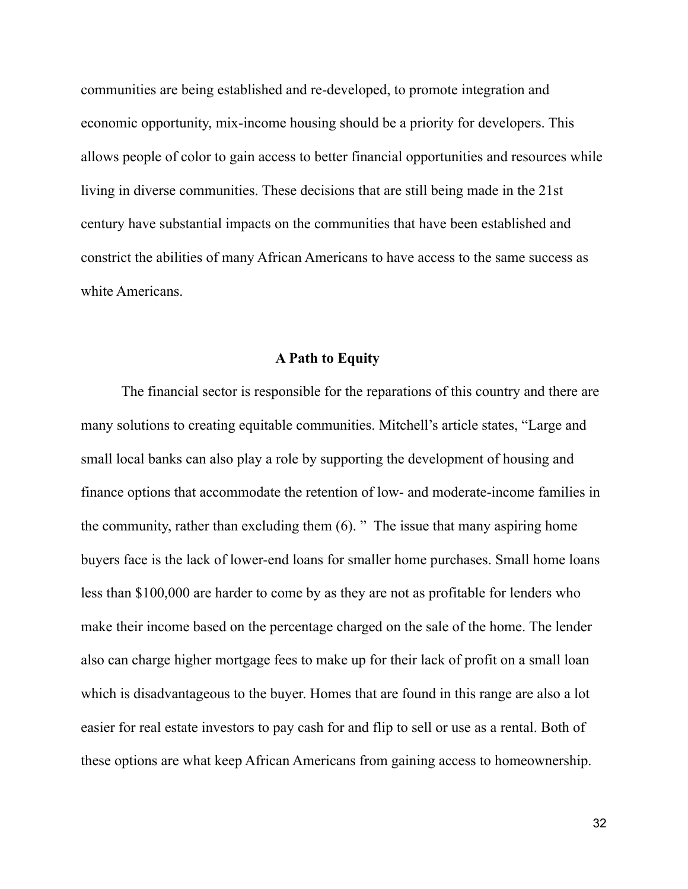communities are being established and re-developed, to promote integration and economic opportunity, mix-income housing should be a priority for developers. This allows people of color to gain access to better financial opportunities and resources while living in diverse communities. These decisions that are still being made in the 21st century have substantial impacts on the communities that have been established and constrict the abilities of many African Americans to have access to the same success as white Americans.

## **A Path to Equity**

The financial sector is responsible for the reparations of this country and there are many solutions to creating equitable communities. Mitchell's article states, "Large and small local banks can also play a role by supporting the development of housing and finance options that accommodate the retention of low- and moderate-income families in the community, rather than excluding them (6). " The issue that many aspiring home buyers face is the lack of lower-end loans for smaller home purchases. Small home loans less than \$100,000 are harder to come by as they are not as profitable for lenders who make their income based on the percentage charged on the sale of the home. The lender also can charge higher mortgage fees to make up for their lack of profit on a small loan which is disadvantageous to the buyer. Homes that are found in this range are also a lot easier for real estate investors to pay cash for and flip to sell or use as a rental. Both of these options are what keep African Americans from gaining access to homeownership.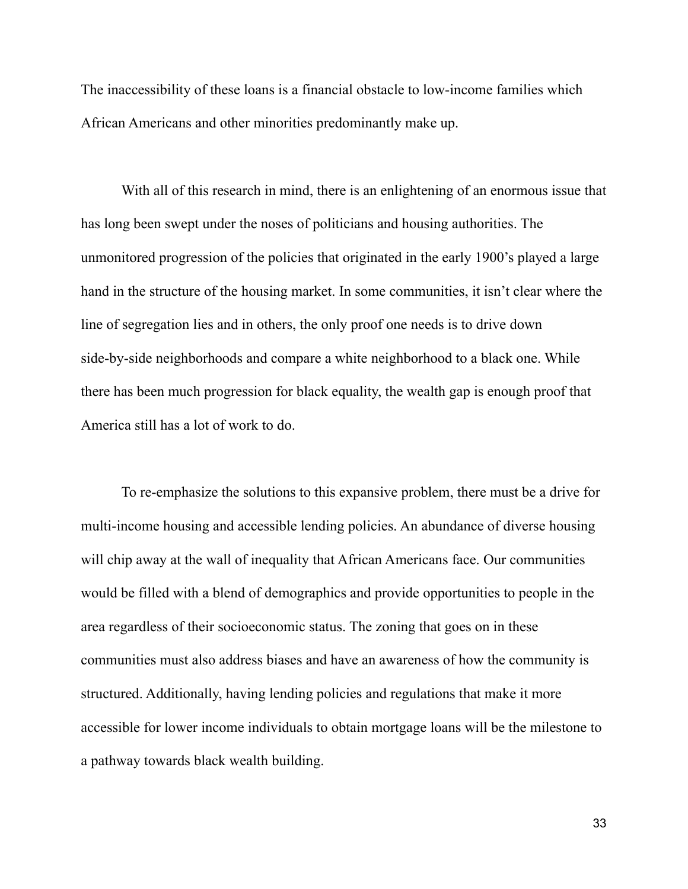The inaccessibility of these loans is a financial obstacle to low-income families which African Americans and other minorities predominantly make up.

With all of this research in mind, there is an enlightening of an enormous issue that has long been swept under the noses of politicians and housing authorities. The unmonitored progression of the policies that originated in the early 1900's played a large hand in the structure of the housing market. In some communities, it isn't clear where the line of segregation lies and in others, the only proof one needs is to drive down side-by-side neighborhoods and compare a white neighborhood to a black one. While there has been much progression for black equality, the wealth gap is enough proof that America still has a lot of work to do.

To re-emphasize the solutions to this expansive problem, there must be a drive for multi-income housing and accessible lending policies. An abundance of diverse housing will chip away at the wall of inequality that African Americans face. Our communities would be filled with a blend of demographics and provide opportunities to people in the area regardless of their socioeconomic status. The zoning that goes on in these communities must also address biases and have an awareness of how the community is structured. Additionally, having lending policies and regulations that make it more accessible for lower income individuals to obtain mortgage loans will be the milestone to a pathway towards black wealth building.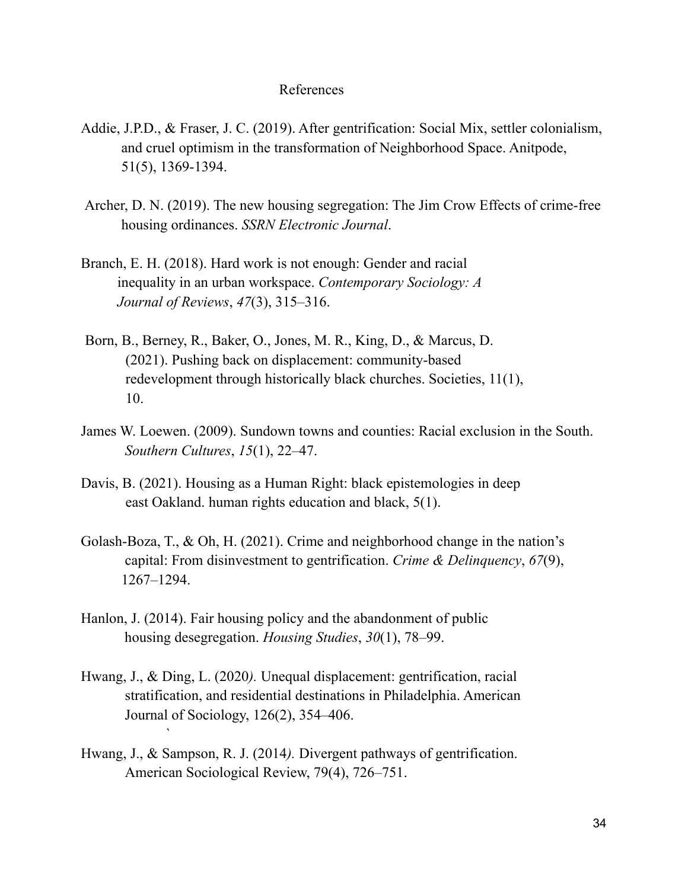### References

- Addie, J.P.D., & Fraser, J. C. (2019). After gentrification: Social Mix, settler colonialism, and cruel optimism in the transformation of Neighborhood Space. Anitpode, 51(5), 1369-1394.
- Archer, D. N. (2019). The new housing segregation: The Jim Crow Effects of crime-free housing ordinances. *SSRN Electronic Journal*.
- Branch, E. H. (2018). Hard work is not enough: Gender and racial inequality in an urban workspace. *Contemporary Sociology: A Journal of Reviews*, *47*(3), 315–316.
- Born, B., Berney, R., Baker, O., Jones, M. R., King, D., & Marcus, D. (2021). Pushing back on displacement: community-based redevelopment through historically black churches. Societies, 11(1), 10.
- James W. Loewen. (2009). Sundown towns and counties: Racial exclusion in the South. *Southern Cultures*, *15*(1), 22–47.
- Davis, B. (2021). Housing as a Human Right: black epistemologies in deep east Oakland. human rights education and black, 5(1).
- Golash-Boza, T., & Oh, H. (2021). Crime and neighborhood change in the nation's capital: From disinvestment to gentrification. *Crime & Delinquency*, *67*(9), 1267–1294.
- Hanlon, J. (2014). Fair housing policy and the abandonment of public housing desegregation. *Housing Studies*, *30*(1), 78–99.
- Hwang, J., & Ding, L. (2020*).* Unequal displacement: gentrification, racial stratification, and residential destinations in Philadelphia. American Journal of Sociology, 126(2), 354–406.
- Hwang, J., & Sampson, R. J. (2014*).* Divergent pathways of gentrification. American Sociological Review, 79(4), 726–751.

`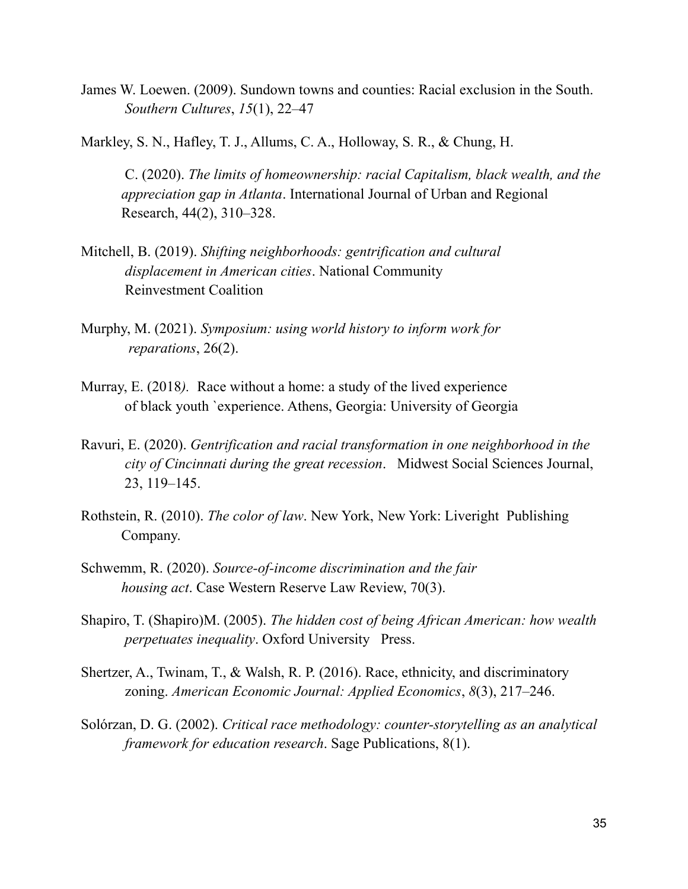- James W. Loewen. (2009). Sundown towns and counties: Racial exclusion in the South. *Southern Cultures*, *15*(1), 22–47
- Markley, S. N., Hafley, T. J., Allums, C. A., Holloway, S. R., & Chung, H.

C. (2020). *The limits of homeownership: racial Capitalism, black wealth, and the appreciation gap in Atlanta*. International Journal of Urban and Regional Research, 44(2), 310–328.

- Mitchell, B. (2019). *Shifting neighborhoods: gentrification and cultural displacement in American cities*. National Community Reinvestment Coalition
- Murphy, M. (2021). *Symposium: using world history to inform work for reparations*, 26(2).
- Murray, E. (2018*).* Race without a home: a study of the lived experience of black youth `experience. Athens, Georgia: University of Georgia
- Ravuri, E. (2020). *Gentrification and racial transformation in one neighborhood in the city of Cincinnati during the great recession*. Midwest Social Sciences Journal, 23, 119–145.
- Rothstein, R. (2010). *The color of law*. New York, New York: Liveright Publishing Company.
- Schwemm, R. (2020). *Source-of-income discrimination and the fair housing act*. Case Western Reserve Law Review, 70(3).
- Shapiro, T. (Shapiro)M. (2005). *The hidden cost of being African American: how wealth perpetuates inequality*. Oxford University Press.
- Shertzer, A., Twinam, T., & Walsh, R. P. (2016). Race, ethnicity, and discriminatory zoning. *American Economic Journal: Applied Economics*, *8*(3), 217–246.
- Solórzan, D. G. (2002). *Critical race methodology: counter-storytelling as an analytical framework for education research*. Sage Publications, 8(1).